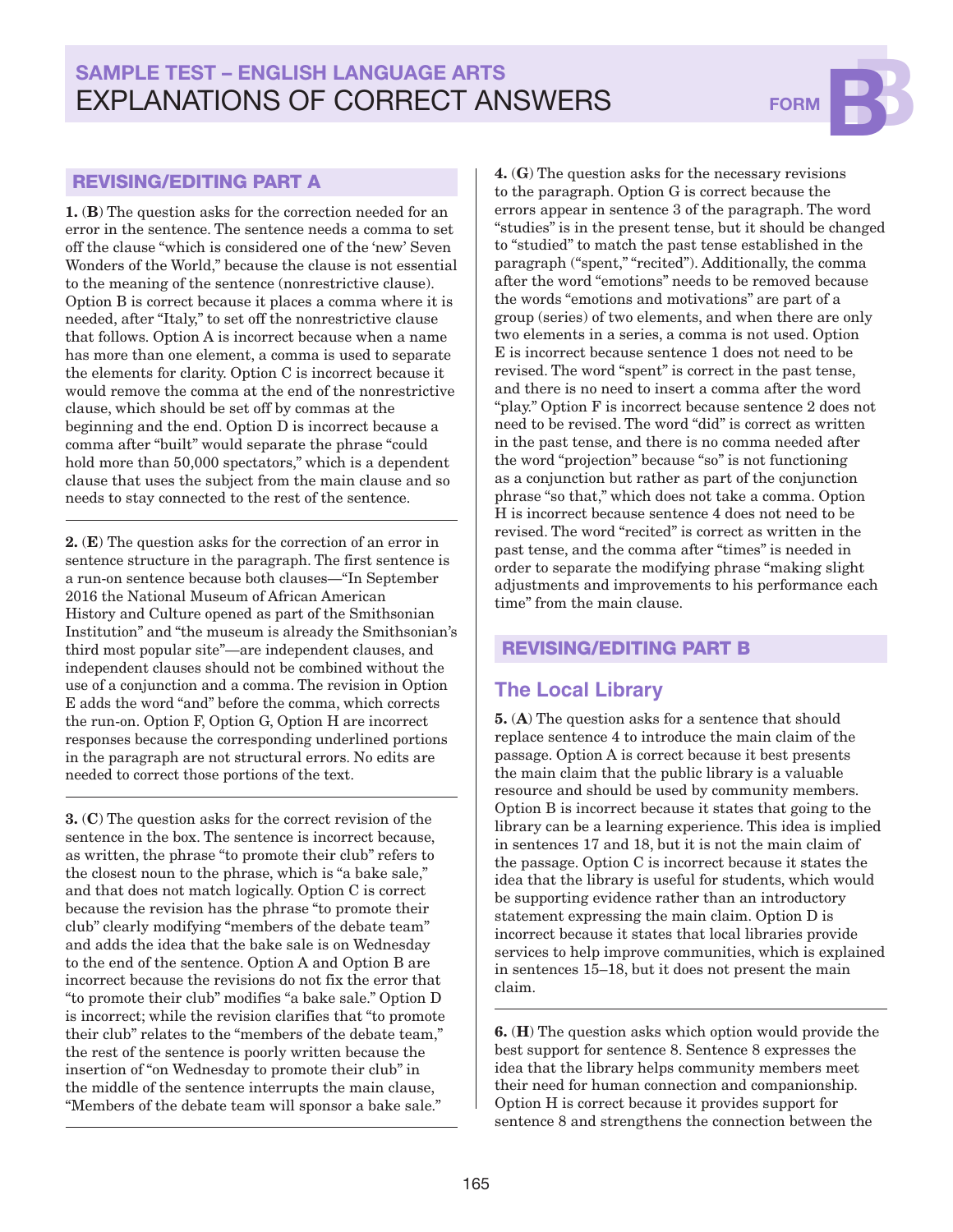# SAMPLE TEST – ENGLISH LANGUAGE ARTS EXPLANATIONS OF CORRECT ANSWERS FORM



#### REVISING/EDITING PART A

1. (B) The question asks for the correction needed for an error in the sentence. The sentence needs a comma to set off the clause "which is considered one of the 'new' Seven Wonders of the World," because the clause is not essential to the meaning of the sentence (nonrestrictive clause). Option B is correct because it places a comma where it is needed, after "Italy," to set off the nonrestrictive clause that follows. Option A is incorrect because when a name has more than one element, a comma is used to separate the elements for clarity. Option C is incorrect because it would remove the comma at the end of the nonrestrictive clause, which should be set off by commas at the beginning and the end. Option D is incorrect because a comma after "built" would separate the phrase "could hold more than 50,000 spectators," which is a dependent clause that uses the subject from the main clause and so needs to stay connected to the rest of the sentence.

2. (E) The question asks for the correction of an error in sentence structure in the paragraph. The first sentence is a run-on sentence because both clauses—"In September 2016 the National Museum of African American History and Culture opened as part of the Smithsonian Institution" and "the museum is already the Smithsonian's third most popular site"—are independent clauses, and independent clauses should not be combined without the use of a conjunction and a comma. The revision in Option E adds the word "and" before the comma, which corrects the run-on. Option F, Option G, Option H are incorrect responses because the corresponding underlined portions in the paragraph are not structural errors. No edits are needed to correct those portions of the text.

3. (C) The question asks for the correct revision of the sentence in the box. The sentence is incorrect because, as written, the phrase "to promote their club" refers to the closest noun to the phrase, which is "a bake sale," and that does not match logically. Option C is correct because the revision has the phrase "to promote their club" clearly modifying "members of the debate team" and adds the idea that the bake sale is on Wednesday to the end of the sentence. Option A and Option B are incorrect because the revisions do not fix the error that "to promote their club" modifies "a bake sale." Option D is incorrect; while the revision clarifies that "to promote their club" relates to the "members of the debate team," the rest of the sentence is poorly written because the insertion of "on Wednesday to promote their club" in the middle of the sentence interrupts the main clause, "Members of the debate team will sponsor a bake sale."

4. (G) The question asks for the necessary revisions to the paragraph. Option G is correct because the errors appear in sentence 3 of the paragraph. The word "studies" is in the present tense, but it should be changed to "studied" to match the past tense established in the paragraph ("spent," "recited"). Additionally, the comma after the word "emotions" needs to be removed because the words "emotions and motivations" are part of a group (series) of two elements, and when there are only two elements in a series, a comma is not used. Option E is incorrect because sentence 1 does not need to be revised. The word "spent" is correct in the past tense, and there is no need to insert a comma after the word "play." Option F is incorrect because sentence 2 does not need to be revised. The word "did" is correct as written in the past tense, and there is no comma needed after the word "projection" because "so" is not functioning as a conjunction but rather as part of the conjunction phrase "so that," which does not take a comma. Option H is incorrect because sentence 4 does not need to be revised. The word "recited" is correct as written in the past tense, and the comma after "times" is needed in order to separate the modifying phrase "making slight adjustments and improvements to his performance each time" from the main clause.

### REVISING/EDITING PART B

### **The Local Library**

5. (A) The question asks for a sentence that should replace sentence 4 to introduce the main claim of the passage. Option A is correct because it best presents the main claim that the public library is a valuable resource and should be used by community members. Option B is incorrect because it states that going to the library can be a learning experience. This idea is implied in sentences 17 and 18, but it is not the main claim of the passage. Option C is incorrect because it states the idea that the library is useful for students, which would be supporting evidence rather than an introductory statement expressing the main claim. Option D is incorrect because it states that local libraries provide services to help improve communities, which is explained in sentences 15–18, but it does not present the main claim.

6. (H) The question asks which option would provide the best support for sentence 8. Sentence 8 expresses the idea that the library helps community members meet their need for human connection and companionship. Option H is correct because it provides support for sentence 8 and strengthens the connection between the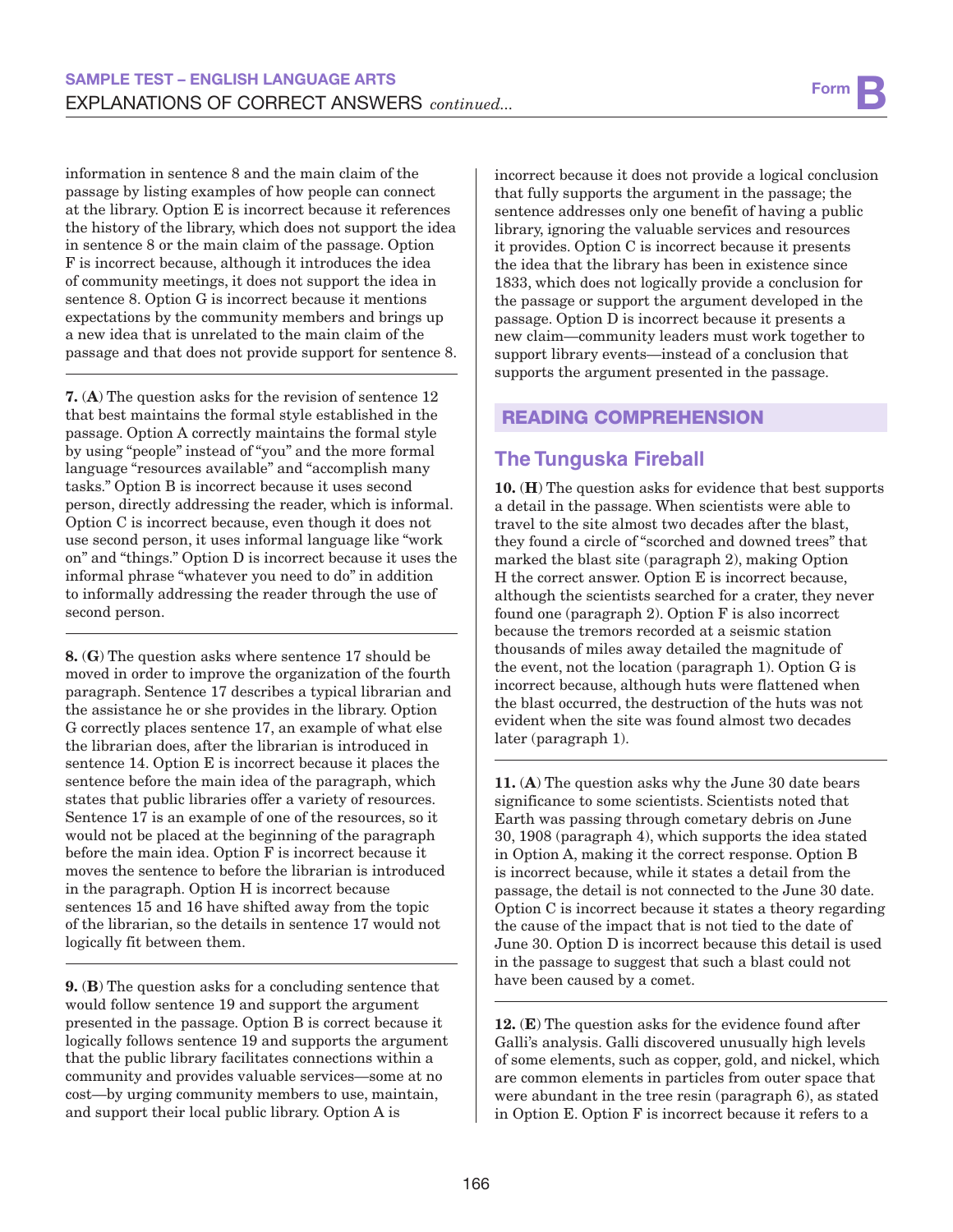information in sentence 8 and the main claim of the passage by listing examples of how people can connect at the library. Option E is incorrect because it references the history of the library, which does not support the idea in sentence 8 or the main claim of the passage. Option F is incorrect because, although it introduces the idea of community meetings, it does not support the idea in sentence 8. Option G is incorrect because it mentions expectations by the community members and brings up a new idea that is unrelated to the main claim of the passage and that does not provide support for sentence 8.

7. (A) The question asks for the revision of sentence 12 that best maintains the formal style established in the passage. Option A correctly maintains the formal style by using "people" instead of "you" and the more formal language "resources available" and "accomplish many tasks." Option B is incorrect because it uses second person, directly addressing the reader, which is informal. Option C is incorrect because, even though it does not use second person, it uses informal language like "work on" and "things." Option D is incorrect because it uses the informal phrase "whatever you need to do" in addition to informally addressing the reader through the use of second person.

8. (G) The question asks where sentence 17 should be moved in order to improve the organization of the fourth paragraph. Sentence 17 describes a typical librarian and the assistance he or she provides in the library. Option G correctly places sentence 17, an example of what else the librarian does, after the librarian is introduced in sentence 14. Option E is incorrect because it places the sentence before the main idea of the paragraph, which states that public libraries offer a variety of resources. Sentence 17 is an example of one of the resources, so it would not be placed at the beginning of the paragraph before the main idea. Option F is incorrect because it moves the sentence to before the librarian is introduced in the paragraph. Option H is incorrect because sentences 15 and 16 have shifted away from the topic of the librarian, so the details in sentence 17 would not logically fit between them.

9. (B) The question asks for a concluding sentence that would follow sentence 19 and support the argument presented in the passage. Option B is correct because it logically follows sentence 19 and supports the argument that the public library facilitates connections within a community and provides valuable services—some at no cost—by urging community members to use, maintain, and support their local public library. Option A is

incorrect because it does not provide a logical conclusion that fully supports the argument in the passage; the sentence addresses only one benefit of having a public library, ignoring the valuable services and resources it provides. Option C is incorrect because it presents the idea that the library has been in existence since 1833, which does not logically provide a conclusion for the passage or support the argument developed in the passage. Option D is incorrect because it presents a new claim—community leaders must work together to support library events—instead of a conclusion that supports the argument presented in the passage.

### READING COMPREHENSION

# **The Tunguska Fireball**

10. (H) The question asks for evidence that best supports a detail in the passage. When scientists were able to travel to the site almost two decades after the blast, they found a circle of "scorched and downed trees" that marked the blast site (paragraph 2), making Option H the correct answer. Option E is incorrect because, although the scientists searched for a crater, they never found one (paragraph 2). Option F is also incorrect because the tremors recorded at a seismic station thousands of miles away detailed the magnitude of the event, not the location (paragraph 1). Option G is incorrect because, although huts were flattened when the blast occurred, the destruction of the huts was not evident when the site was found almost two decades later (paragraph 1).

11. (A) The question asks why the June 30 date bears significance to some scientists. Scientists noted that Earth was passing through cometary debris on June 30, 1908 (paragraph 4), which supports the idea stated in Option A, making it the correct response. Option B is incorrect because, while it states a detail from the passage, the detail is not connected to the June 30 date. Option C is incorrect because it states a theory regarding the cause of the impact that is not tied to the date of June 30. Option D is incorrect because this detail is used in the passage to suggest that such a blast could not have been caused by a comet.

12. (E) The question asks for the evidence found after Galli's analysis. Galli discovered unusually high levels of some elements, such as copper, gold, and nickel, which are common elements in particles from outer space that were abundant in the tree resin (paragraph 6), as stated in Option E. Option F is incorrect because it refers to a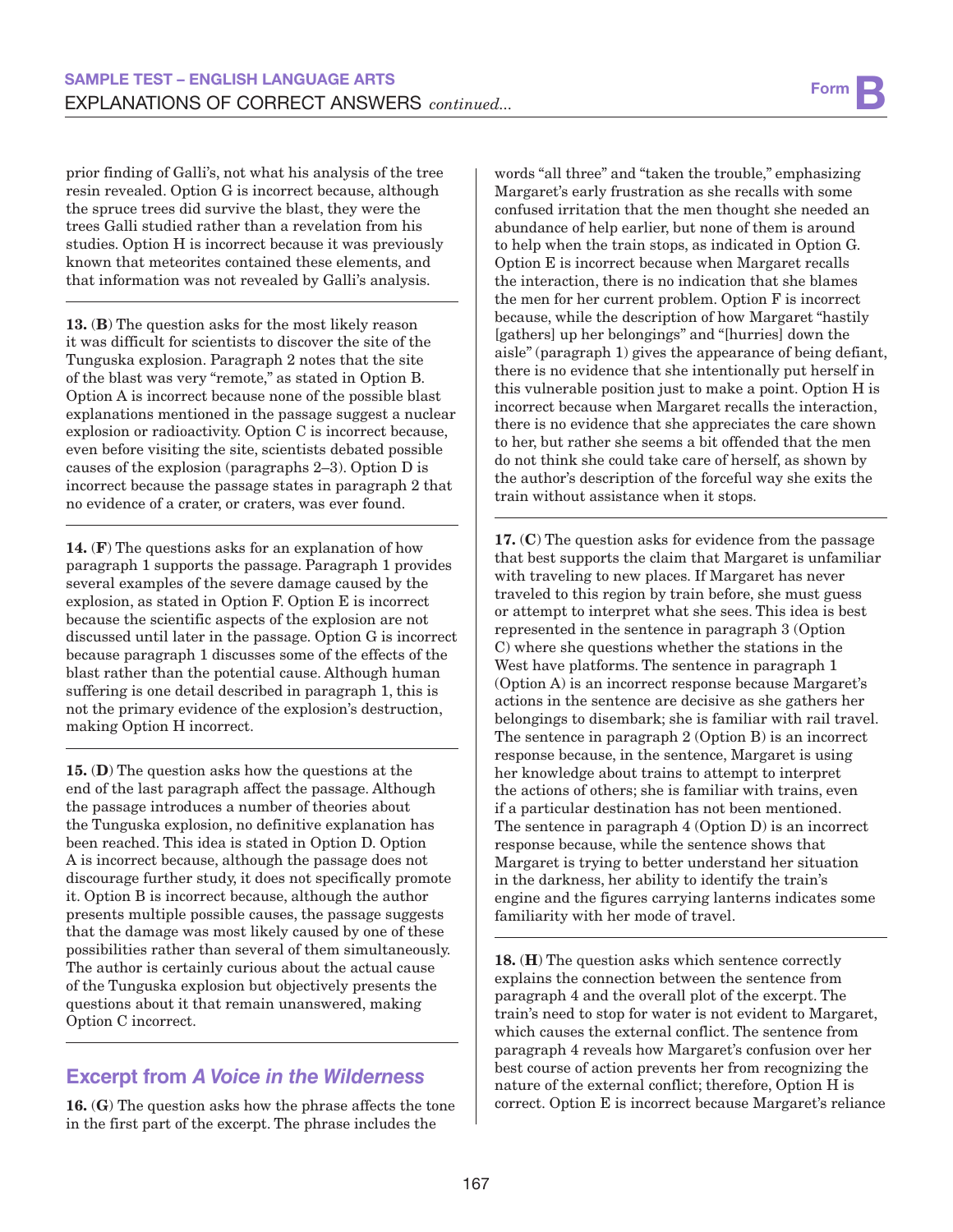prior finding of Galli's, not what his analysis of the tree resin revealed. Option G is incorrect because, although the spruce trees did survive the blast, they were the trees Galli studied rather than a revelation from his studies. Option H is incorrect because it was previously known that meteorites contained these elements, and that information was not revealed by Galli's analysis.

13. (B) The question asks for the most likely reason it was difficult for scientists to discover the site of the Tunguska explosion. Paragraph 2 notes that the site of the blast was very "remote," as stated in Option B. Option A is incorrect because none of the possible blast explanations mentioned in the passage suggest a nuclear explosion or radioactivity. Option C is incorrect because, even before visiting the site, scientists debated possible causes of the explosion (paragraphs 2–3). Option D is incorrect because the passage states in paragraph 2 that no evidence of a crater, or craters, was ever found.

14. (F) The questions asks for an explanation of how paragraph 1 supports the passage. Paragraph 1 provides several examples of the severe damage caused by the explosion, as stated in Option F. Option E is incorrect because the scientific aspects of the explosion are not discussed until later in the passage. Option G is incorrect because paragraph 1 discusses some of the effects of the blast rather than the potential cause. Although human suffering is one detail described in paragraph 1, this is not the primary evidence of the explosion's destruction, making Option H incorrect.

15. (D) The question asks how the questions at the end of the last paragraph affect the passage. Although the passage introduces a number of theories about the Tunguska explosion, no definitive explanation has been reached. This idea is stated in Option D. Option A is incorrect because, although the passage does not discourage further study, it does not specifically promote it. Option B is incorrect because, although the author presents multiple possible causes, the passage suggests that the damage was most likely caused by one of these possibilities rather than several of them simultaneously. The author is certainly curious about the actual cause of the Tunguska explosion but objectively presents the questions about it that remain unanswered, making Option C incorrect.

# **Excerpt from** *A Voice in the Wilderness*

16. (G) The question asks how the phrase affects the tone in the first part of the excerpt. The phrase includes the

words "all three" and "taken the trouble," emphasizing Margaret's early frustration as she recalls with some confused irritation that the men thought she needed an abundance of help earlier, but none of them is around to help when the train stops, as indicated in Option G. Option E is incorrect because when Margaret recalls the interaction, there is no indication that she blames the men for her current problem. Option F is incorrect because, while the description of how Margaret "hastily [gathers] up her belongings" and "[hurries] down the aisle" (paragraph 1) gives the appearance of being defiant, there is no evidence that she intentionally put herself in this vulnerable position just to make a point. Option H is incorrect because when Margaret recalls the interaction, there is no evidence that she appreciates the care shown to her, but rather she seems a bit offended that the men do not think she could take care of herself, as shown by the author's description of the forceful way she exits the train without assistance when it stops.

17. (C) The question asks for evidence from the passage that best supports the claim that Margaret is unfamiliar with traveling to new places. If Margaret has never traveled to this region by train before, she must guess or attempt to interpret what she sees. This idea is best represented in the sentence in paragraph 3 (Option C) where she questions whether the stations in the West have platforms. The sentence in paragraph 1 (Option A) is an incorrect response because Margaret's actions in the sentence are decisive as she gathers her belongings to disembark; she is familiar with rail travel. The sentence in paragraph 2 (Option B) is an incorrect response because, in the sentence, Margaret is using her knowledge about trains to attempt to interpret the actions of others; she is familiar with trains, even if a particular destination has not been mentioned. The sentence in paragraph 4 (Option D) is an incorrect response because, while the sentence shows that Margaret is trying to better understand her situation in the darkness, her ability to identify the train's engine and the figures carrying lanterns indicates some familiarity with her mode of travel.

18. (H) The question asks which sentence correctly explains the connection between the sentence from paragraph 4 and the overall plot of the excerpt. The train's need to stop for water is not evident to Margaret, which causes the external conflict. The sentence from paragraph 4 reveals how Margaret's confusion over her best course of action prevents her from recognizing the nature of the external conflict; therefore, Option H is correct. Option E is incorrect because Margaret's reliance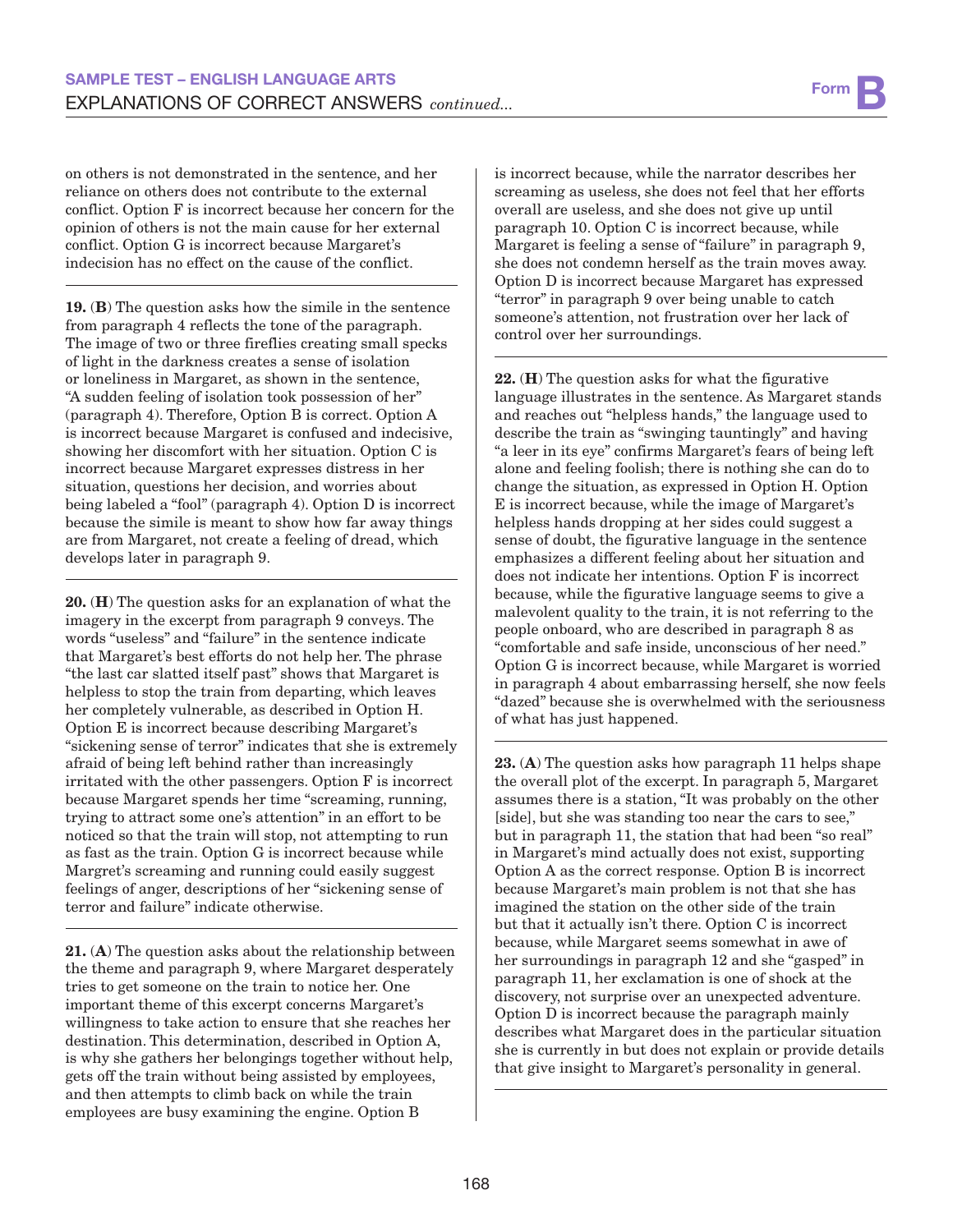on others is not demonstrated in the sentence, and her reliance on others does not contribute to the external conflict. Option F is incorrect because her concern for the opinion of others is not the main cause for her external conflict. Option G is incorrect because Margaret's indecision has no effect on the cause of the conflict.

19. (B) The question asks how the simile in the sentence from paragraph 4 reflects the tone of the paragraph. The image of two or three fireflies creating small specks of light in the darkness creates a sense of isolation or loneliness in Margaret, as shown in the sentence, "A sudden feeling of isolation took possession of her" (paragraph 4). Therefore, Option B is correct. Option A is incorrect because Margaret is confused and indecisive, showing her discomfort with her situation. Option C is incorrect because Margaret expresses distress in her situation, questions her decision, and worries about being labeled a "fool" (paragraph 4). Option D is incorrect because the simile is meant to show how far away things are from Margaret, not create a feeling of dread, which develops later in paragraph 9.

20. (H) The question asks for an explanation of what the imagery in the excerpt from paragraph 9 conveys. The words "useless" and "failure" in the sentence indicate that Margaret's best efforts do not help her. The phrase "the last car slatted itself past" shows that Margaret is helpless to stop the train from departing, which leaves her completely vulnerable, as described in Option H. Option E is incorrect because describing Margaret's "sickening sense of terror" indicates that she is extremely afraid of being left behind rather than increasingly irritated with the other passengers. Option F is incorrect because Margaret spends her time "screaming, running, trying to attract some one's attention" in an effort to be noticed so that the train will stop, not attempting to run as fast as the train. Option G is incorrect because while Margret's screaming and running could easily suggest feelings of anger, descriptions of her "sickening sense of terror and failure" indicate otherwise.

21. (A) The question asks about the relationship between the theme and paragraph 9, where Margaret desperately tries to get someone on the train to notice her. One important theme of this excerpt concerns Margaret's willingness to take action to ensure that she reaches her destination. This determination, described in Option A, is why she gathers her belongings together without help, gets off the train without being assisted by employees, and then attempts to climb back on while the train employees are busy examining the engine. Option B

is incorrect because, while the narrator describes her screaming as useless, she does not feel that her efforts overall are useless, and she does not give up until paragraph 10. Option C is incorrect because, while Margaret is feeling a sense of "failure" in paragraph 9, she does not condemn herself as the train moves away. Option D is incorrect because Margaret has expressed "terror" in paragraph 9 over being unable to catch someone's attention, not frustration over her lack of control over her surroundings.

22. (H) The question asks for what the figurative language illustrates in the sentence. As Margaret stands and reaches out "helpless hands," the language used to describe the train as "swinging tauntingly" and having "a leer in its eye" confirms Margaret's fears of being left alone and feeling foolish; there is nothing she can do to change the situation, as expressed in Option H. Option E is incorrect because, while the image of Margaret's helpless hands dropping at her sides could suggest a sense of doubt, the figurative language in the sentence emphasizes a different feeling about her situation and does not indicate her intentions. Option F is incorrect because, while the figurative language seems to give a malevolent quality to the train, it is not referring to the people onboard, who are described in paragraph 8 as "comfortable and safe inside, unconscious of her need." Option G is incorrect because, while Margaret is worried in paragraph 4 about embarrassing herself, she now feels "dazed" because she is overwhelmed with the seriousness of what has just happened.

23. (A) The question asks how paragraph 11 helps shape the overall plot of the excerpt. In paragraph 5, Margaret assumes there is a station, "It was probably on the other [side], but she was standing too near the cars to see," but in paragraph 11, the station that had been "so real" in Margaret's mind actually does not exist, supporting Option A as the correct response. Option B is incorrect because Margaret's main problem is not that she has imagined the station on the other side of the train but that it actually isn't there. Option C is incorrect because, while Margaret seems somewhat in awe of her surroundings in paragraph 12 and she "gasped" in paragraph 11, her exclamation is one of shock at the discovery, not surprise over an unexpected adventure. Option D is incorrect because the paragraph mainly describes what Margaret does in the particular situation she is currently in but does not explain or provide details that give insight to Margaret's personality in general.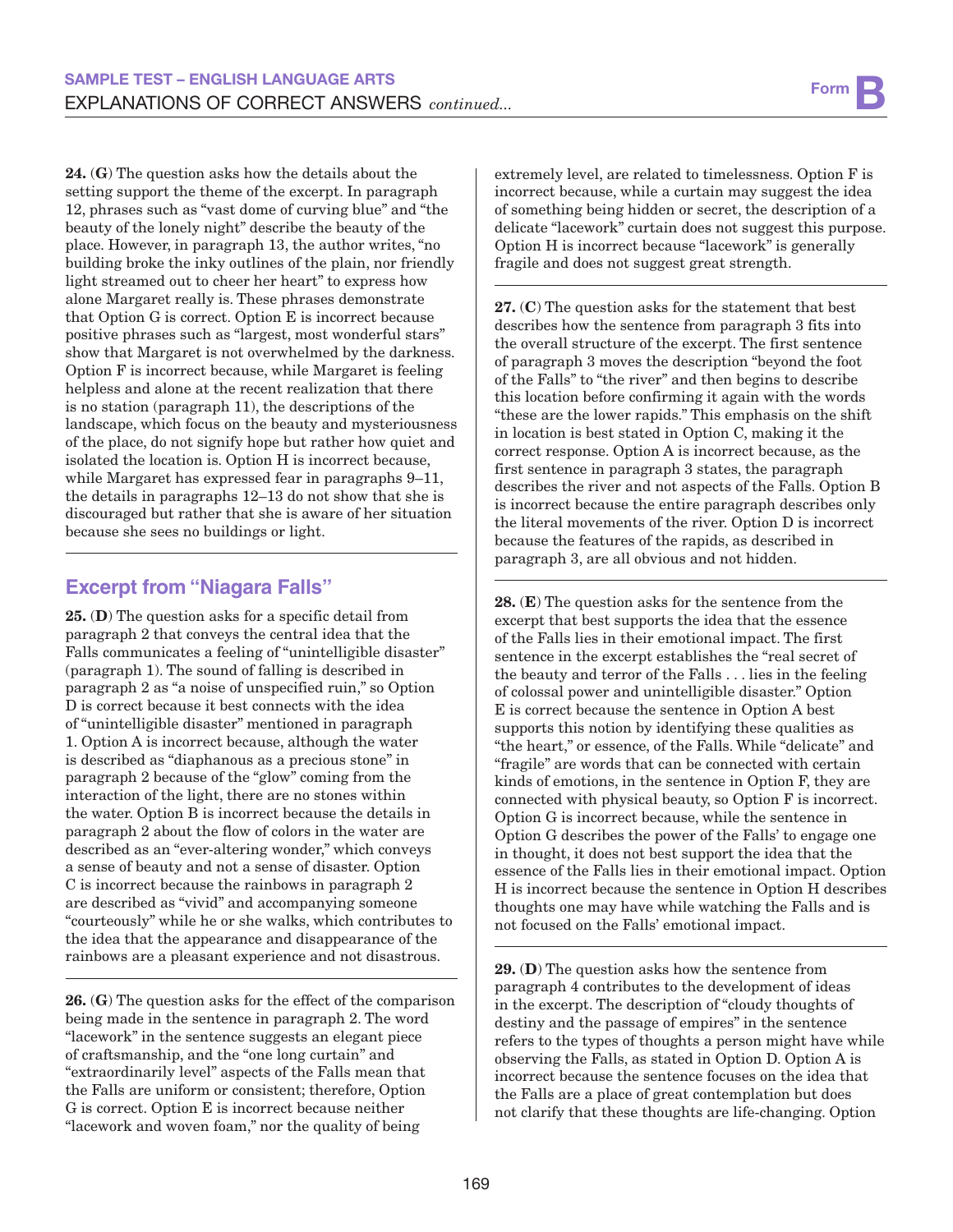24. (G) The question asks how the details about the setting support the theme of the excerpt. In paragraph 12, phrases such as "vast dome of curving blue" and "the beauty of the lonely night" describe the beauty of the place. However, in paragraph 13, the author writes, "no building broke the inky outlines of the plain, nor friendly light streamed out to cheer her heart" to express how alone Margaret really is. These phrases demonstrate that Option G is correct. Option E is incorrect because positive phrases such as "largest, most wonderful stars" show that Margaret is not overwhelmed by the darkness. Option F is incorrect because, while Margaret is feeling helpless and alone at the recent realization that there is no station (paragraph 11), the descriptions of the landscape, which focus on the beauty and mysteriousness of the place, do not signify hope but rather how quiet and isolated the location is. Option H is incorrect because, while Margaret has expressed fear in paragraphs 9–11, the details in paragraphs 12–13 do not show that she is discouraged but rather that she is aware of her situation because she sees no buildings or light.

## **Excerpt from "Niagara Falls"**

25. (D) The question asks for a specific detail from paragraph 2 that conveys the central idea that the Falls communicates a feeling of "unintelligible disaster" (paragraph 1). The sound of falling is described in paragraph 2 as "a noise of unspecified ruin," so Option D is correct because it best connects with the idea of "unintelligible disaster" mentioned in paragraph 1. Option A is incorrect because, although the water is described as "diaphanous as a precious stone" in paragraph 2 because of the "glow" coming from the interaction of the light, there are no stones within the water. Option B is incorrect because the details in paragraph 2 about the flow of colors in the water are described as an "ever-altering wonder," which conveys a sense of beauty and not a sense of disaster. Option C is incorrect because the rainbows in paragraph 2 are described as "vivid" and accompanying someone "courteously" while he or she walks, which contributes to the idea that the appearance and disappearance of the rainbows are a pleasant experience and not disastrous.

26. (G) The question asks for the effect of the comparison being made in the sentence in paragraph 2. The word "lacework" in the sentence suggests an elegant piece of craftsmanship, and the "one long curtain" and "extraordinarily level" aspects of the Falls mean that the Falls are uniform or consistent; therefore, Option G is correct. Option E is incorrect because neither "lacework and woven foam," nor the quality of being

extremely level, are related to timelessness. Option F is incorrect because, while a curtain may suggest the idea of something being hidden or secret, the description of a delicate "lacework" curtain does not suggest this purpose. Option H is incorrect because "lacework" is generally fragile and does not suggest great strength.

27. (C) The question asks for the statement that best describes how the sentence from paragraph 3 fits into the overall structure of the excerpt. The first sentence of paragraph 3 moves the description "beyond the foot of the Falls" to "the river" and then begins to describe this location before confirming it again with the words "these are the lower rapids." This emphasis on the shift in location is best stated in Option C, making it the correct response. Option A is incorrect because, as the first sentence in paragraph 3 states, the paragraph describes the river and not aspects of the Falls. Option B is incorrect because the entire paragraph describes only the literal movements of the river. Option D is incorrect because the features of the rapids, as described in paragraph 3, are all obvious and not hidden.

28. (E) The question asks for the sentence from the excerpt that best supports the idea that the essence of the Falls lies in their emotional impact. The first sentence in the excerpt establishes the "real secret of the beauty and terror of the Falls . . . lies in the feeling of colossal power and unintelligible disaster." Option E is correct because the sentence in Option A best supports this notion by identifying these qualities as "the heart," or essence, of the Falls. While "delicate" and "fragile" are words that can be connected with certain kinds of emotions, in the sentence in Option F, they are connected with physical beauty, so Option F is incorrect. Option G is incorrect because, while the sentence in Option G describes the power of the Falls' to engage one in thought, it does not best support the idea that the essence of the Falls lies in their emotional impact. Option H is incorrect because the sentence in Option H describes thoughts one may have while watching the Falls and is not focused on the Falls' emotional impact.

29. (D) The question asks how the sentence from paragraph 4 contributes to the development of ideas in the excerpt. The description of "cloudy thoughts of destiny and the passage of empires" in the sentence refers to the types of thoughts a person might have while observing the Falls, as stated in Option D. Option A is incorrect because the sentence focuses on the idea that the Falls are a place of great contemplation but does not clarify that these thoughts are life-changing. Option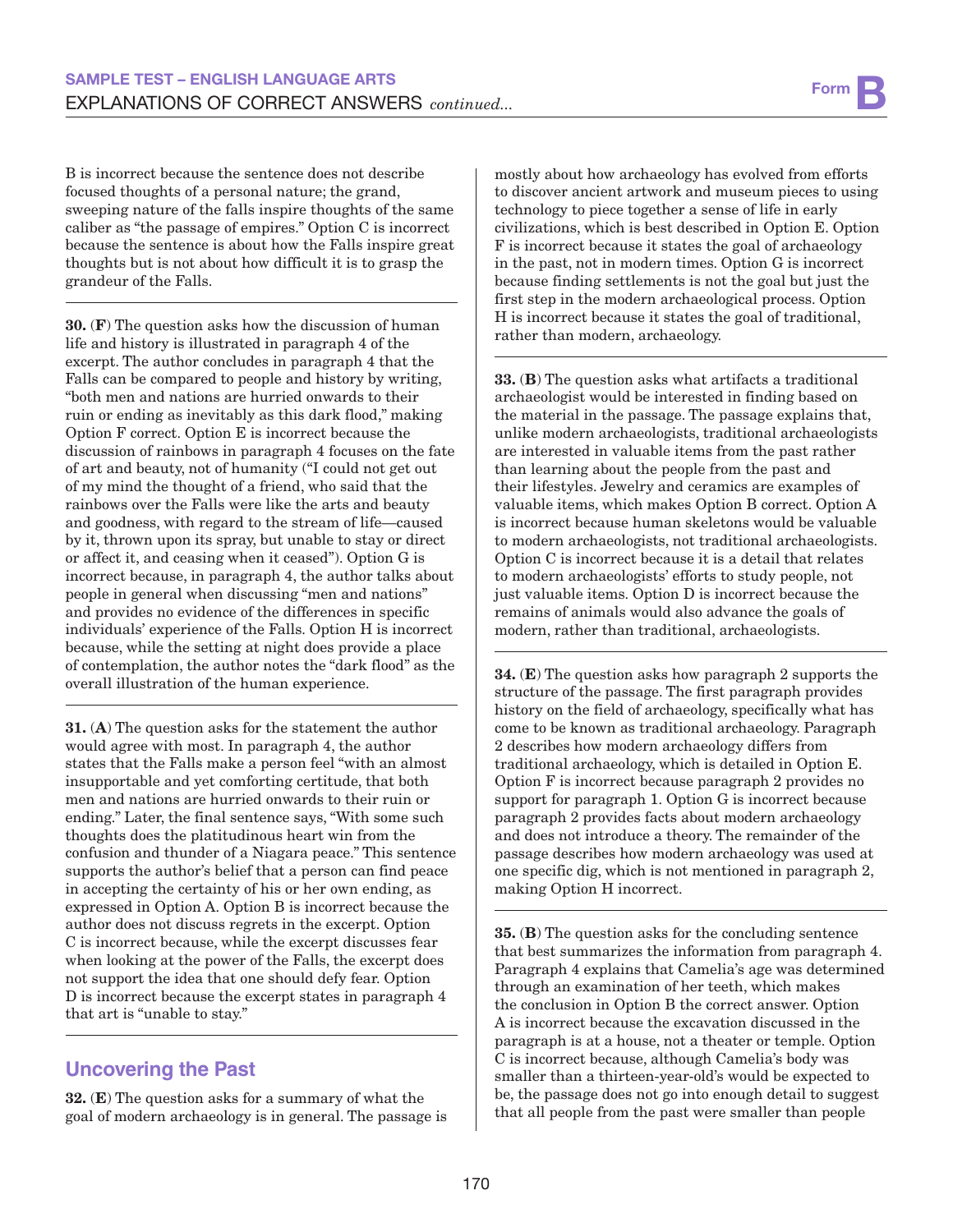B is incorrect because the sentence does not describe focused thoughts of a personal nature; the grand, sweeping nature of the falls inspire thoughts of the same caliber as "the passage of empires." Option C is incorrect because the sentence is about how the Falls inspire great thoughts but is not about how difficult it is to grasp the grandeur of the Falls.

30. (F) The question asks how the discussion of human life and history is illustrated in paragraph 4 of the excerpt. The author concludes in paragraph 4 that the Falls can be compared to people and history by writing, "both men and nations are hurried onwards to their ruin or ending as inevitably as this dark flood," making Option F correct. Option E is incorrect because the discussion of rainbows in paragraph 4 focuses on the fate of art and beauty, not of humanity ("I could not get out of my mind the thought of a friend, who said that the rainbows over the Falls were like the arts and beauty and goodness, with regard to the stream of life—caused by it, thrown upon its spray, but unable to stay or direct or affect it, and ceasing when it ceased"). Option G is incorrect because, in paragraph 4, the author talks about people in general when discussing "men and nations" and provides no evidence of the differences in specific individuals' experience of the Falls. Option H is incorrect because, while the setting at night does provide a place of contemplation, the author notes the "dark flood" as the overall illustration of the human experience.

31. (A) The question asks for the statement the author would agree with most. In paragraph 4, the author states that the Falls make a person feel "with an almost insupportable and yet comforting certitude, that both men and nations are hurried onwards to their ruin or ending." Later, the final sentence says, "With some such thoughts does the platitudinous heart win from the confusion and thunder of a Niagara peace." This sentence supports the author's belief that a person can find peace in accepting the certainty of his or her own ending, as expressed in Option A. Option B is incorrect because the author does not discuss regrets in the excerpt. Option C is incorrect because, while the excerpt discusses fear when looking at the power of the Falls, the excerpt does not support the idea that one should defy fear. Option D is incorrect because the excerpt states in paragraph 4 that art is "unable to stay."

# **Uncovering the Past**

32. (E) The question asks for a summary of what the goal of modern archaeology is in general. The passage is mostly about how archaeology has evolved from efforts to discover ancient artwork and museum pieces to using technology to piece together a sense of life in early civilizations, which is best described in Option E. Option F is incorrect because it states the goal of archaeology in the past, not in modern times. Option G is incorrect because finding settlements is not the goal but just the first step in the modern archaeological process. Option H is incorrect because it states the goal of traditional, rather than modern, archaeology.

33. (B) The question asks what artifacts a traditional archaeologist would be interested in finding based on the material in the passage. The passage explains that, unlike modern archaeologists, traditional archaeologists are interested in valuable items from the past rather than learning about the people from the past and their lifestyles. Jewelry and ceramics are examples of valuable items, which makes Option B correct. Option A is incorrect because human skeletons would be valuable to modern archaeologists, not traditional archaeologists. Option C is incorrect because it is a detail that relates to modern archaeologists' efforts to study people, not just valuable items. Option D is incorrect because the remains of animals would also advance the goals of modern, rather than traditional, archaeologists.

34. (E) The question asks how paragraph 2 supports the structure of the passage. The first paragraph provides history on the field of archaeology, specifically what has come to be known as traditional archaeology. Paragraph 2 describes how modern archaeology differs from traditional archaeology, which is detailed in Option E. Option F is incorrect because paragraph 2 provides no support for paragraph 1. Option G is incorrect because paragraph 2 provides facts about modern archaeology and does not introduce a theory. The remainder of the passage describes how modern archaeology was used at one specific dig, which is not mentioned in paragraph 2, making Option H incorrect.

35. (B) The question asks for the concluding sentence that best summarizes the information from paragraph 4. Paragraph 4 explains that Camelia's age was determined through an examination of her teeth, which makes the conclusion in Option B the correct answer. Option A is incorrect because the excavation discussed in the paragraph is at a house, not a theater or temple. Option C is incorrect because, although Camelia's body was smaller than a thirteen-year-old's would be expected to be, the passage does not go into enough detail to suggest that all people from the past were smaller than people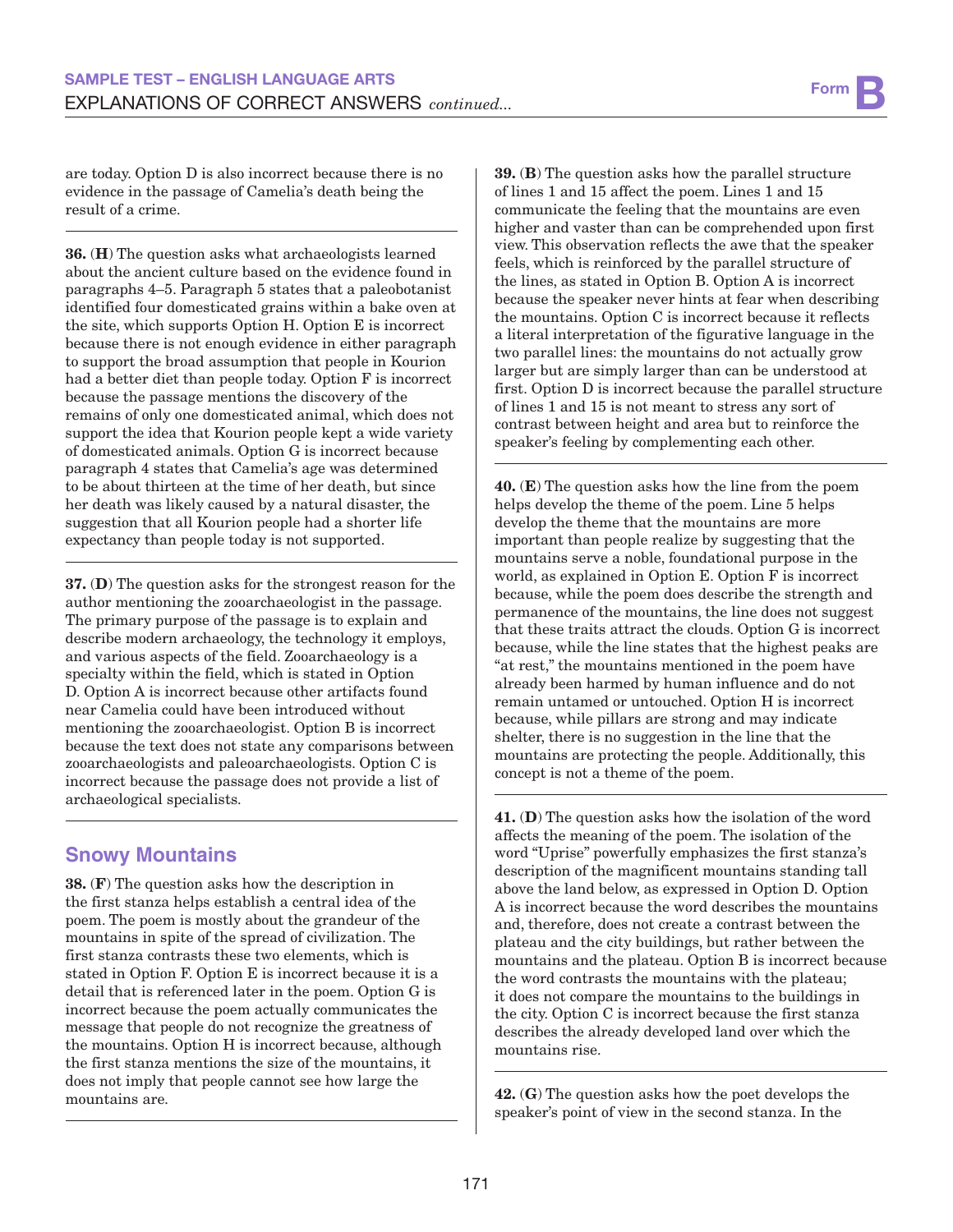are today. Option D is also incorrect because there is no evidence in the passage of Camelia's death being the result of a crime.

36. (H) The question asks what archaeologists learned about the ancient culture based on the evidence found in paragraphs 4–5. Paragraph 5 states that a paleobotanist identified four domesticated grains within a bake oven at the site, which supports Option H. Option E is incorrect because there is not enough evidence in either paragraph to support the broad assumption that people in Kourion had a better diet than people today. Option F is incorrect because the passage mentions the discovery of the remains of only one domesticated animal, which does not support the idea that Kourion people kept a wide variety of domesticated animals. Option G is incorrect because paragraph 4 states that Camelia's age was determined to be about thirteen at the time of her death, but since her death was likely caused by a natural disaster, the suggestion that all Kourion people had a shorter life expectancy than people today is not supported.

37. (D) The question asks for the strongest reason for the author mentioning the zooarchaeologist in the passage. The primary purpose of the passage is to explain and describe modern archaeology, the technology it employs, and various aspects of the field. Zooarchaeology is a specialty within the field, which is stated in Option D. Option A is incorrect because other artifacts found near Camelia could have been introduced without mentioning the zooarchaeologist. Option B is incorrect because the text does not state any comparisons between zooarchaeologists and paleoarchaeologists. Option C is incorrect because the passage does not provide a list of archaeological specialists.

# **Snowy Mountains**

38. (F) The question asks how the description in the first stanza helps establish a central idea of the poem. The poem is mostly about the grandeur of the mountains in spite of the spread of civilization. The first stanza contrasts these two elements, which is stated in Option F. Option E is incorrect because it is a detail that is referenced later in the poem. Option G is incorrect because the poem actually communicates the message that people do not recognize the greatness of the mountains. Option H is incorrect because, although the first stanza mentions the size of the mountains, it does not imply that people cannot see how large the mountains are.

39. (B) The question asks how the parallel structure of lines 1 and 15 affect the poem. Lines 1 and 15 communicate the feeling that the mountains are even higher and vaster than can be comprehended upon first view. This observation reflects the awe that the speaker feels, which is reinforced by the parallel structure of the lines, as stated in Option B. Option A is incorrect because the speaker never hints at fear when describing the mountains. Option C is incorrect because it reflects a literal interpretation of the figurative language in the two parallel lines: the mountains do not actually grow larger but are simply larger than can be understood at first. Option D is incorrect because the parallel structure of lines 1 and 15 is not meant to stress any sort of contrast between height and area but to reinforce the speaker's feeling by complementing each other.

40. (E) The question asks how the line from the poem helps develop the theme of the poem. Line 5 helps develop the theme that the mountains are more important than people realize by suggesting that the mountains serve a noble, foundational purpose in the world, as explained in Option E. Option F is incorrect because, while the poem does describe the strength and permanence of the mountains, the line does not suggest that these traits attract the clouds. Option G is incorrect because, while the line states that the highest peaks are "at rest," the mountains mentioned in the poem have already been harmed by human influence and do not remain untamed or untouched. Option H is incorrect because, while pillars are strong and may indicate shelter, there is no suggestion in the line that the mountains are protecting the people. Additionally, this concept is not a theme of the poem.

41. (D) The question asks how the isolation of the word affects the meaning of the poem. The isolation of the word "Uprise" powerfully emphasizes the first stanza's description of the magnificent mountains standing tall above the land below, as expressed in Option D. Option A is incorrect because the word describes the mountains and, therefore, does not create a contrast between the plateau and the city buildings, but rather between the mountains and the plateau. Option B is incorrect because the word contrasts the mountains with the plateau; it does not compare the mountains to the buildings in the city. Option C is incorrect because the first stanza describes the already developed land over which the mountains rise.

42. (G) The question asks how the poet develops the speaker's point of view in the second stanza. In the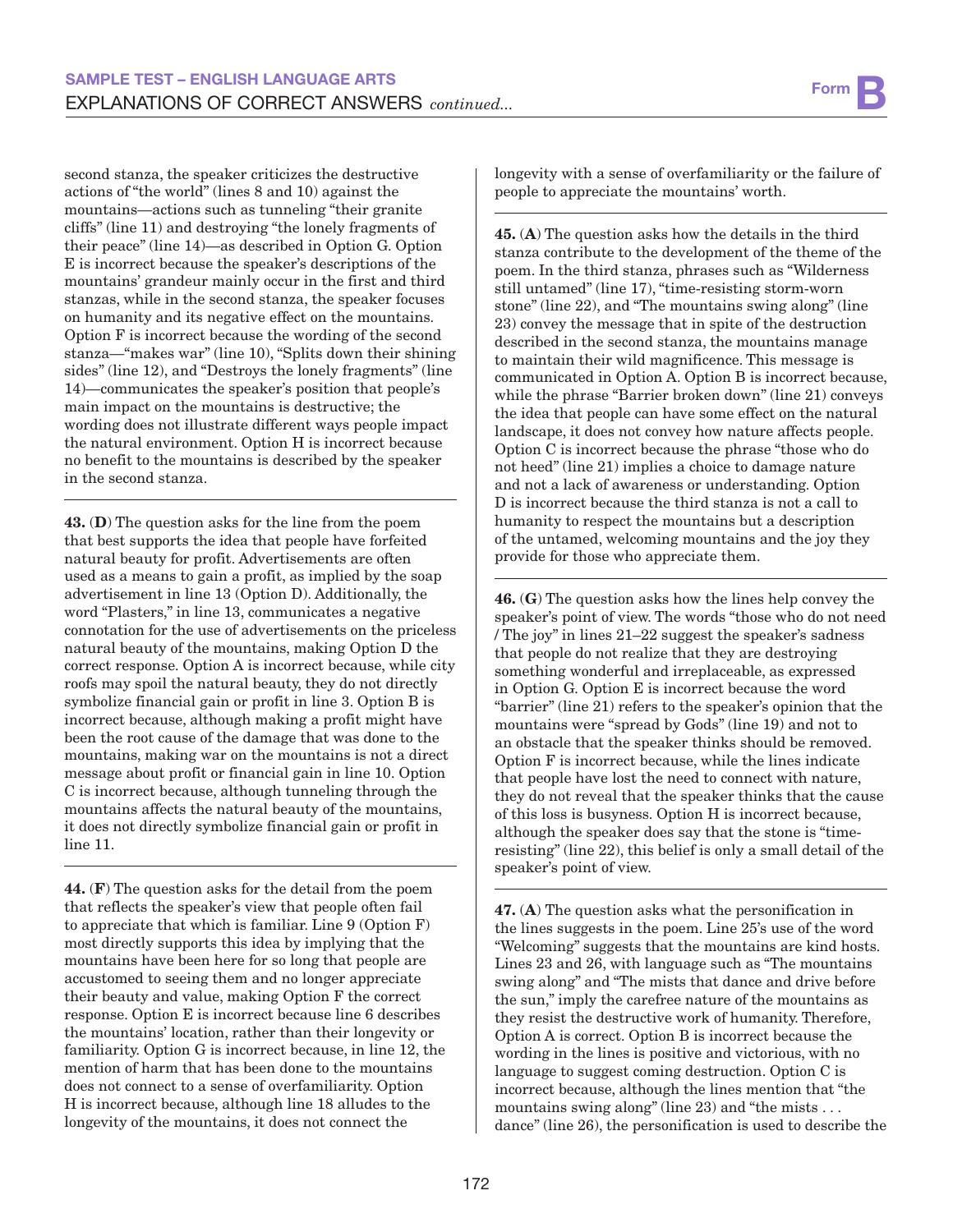second stanza, the speaker criticizes the destructive actions of "the world" (lines 8 and 10) against the mountains—actions such as tunneling "their granite cliffs" (line 11) and destroying "the lonely fragments of their peace" (line 14)—as described in Option G. Option E is incorrect because the speaker's descriptions of the mountains' grandeur mainly occur in the first and third stanzas, while in the second stanza, the speaker focuses on humanity and its negative effect on the mountains. Option F is incorrect because the wording of the second stanza—"makes war" (line 10), "Splits down their shining sides" (line 12), and "Destroys the lonely fragments" (line 14)—communicates the speaker's position that people's main impact on the mountains is destructive; the wording does not illustrate different ways people impact the natural environment. Option H is incorrect because no benefit to the mountains is described by the speaker in the second stanza.

43. (D) The question asks for the line from the poem that best supports the idea that people have forfeited natural beauty for profit. Advertisements are often used as a means to gain a profit, as implied by the soap advertisement in line 13 (Option D). Additionally, the word "Plasters," in line 13, communicates a negative connotation for the use of advertisements on the priceless natural beauty of the mountains, making Option D the correct response. Option A is incorrect because, while city roofs may spoil the natural beauty, they do not directly symbolize financial gain or profit in line 3. Option B is incorrect because, although making a profit might have been the root cause of the damage that was done to the mountains, making war on the mountains is not a direct message about profit or financial gain in line 10. Option C is incorrect because, although tunneling through the mountains affects the natural beauty of the mountains, it does not directly symbolize financial gain or profit in line 11.

44. (F) The question asks for the detail from the poem that reflects the speaker's view that people often fail to appreciate that which is familiar. Line 9 (Option F) most directly supports this idea by implying that the mountains have been here for so long that people are accustomed to seeing them and no longer appreciate their beauty and value, making Option F the correct response. Option E is incorrect because line 6 describes the mountains' location, rather than their longevity or familiarity. Option G is incorrect because, in line 12, the mention of harm that has been done to the mountains does not connect to a sense of overfamiliarity. Option H is incorrect because, although line 18 alludes to the longevity of the mountains, it does not connect the

longevity with a sense of overfamiliarity or the failure of people to appreciate the mountains' worth.

45. (A) The question asks how the details in the third stanza contribute to the development of the theme of the poem. In the third stanza, phrases such as "Wilderness still untamed" (line 17), "time-resisting storm-worn stone" (line 22), and "The mountains swing along" (line 23) convey the message that in spite of the destruction described in the second stanza, the mountains manage to maintain their wild magnificence. This message is communicated in Option A. Option B is incorrect because, while the phrase "Barrier broken down" (line 21) conveys the idea that people can have some effect on the natural landscape, it does not convey how nature affects people. Option C is incorrect because the phrase "those who do not heed" (line 21) implies a choice to damage nature and not a lack of awareness or understanding. Option D is incorrect because the third stanza is not a call to humanity to respect the mountains but a description of the untamed, welcoming mountains and the joy they provide for those who appreciate them.

46. (G) The question asks how the lines help convey the speaker's point of view. The words "those who do not need / The joy" in lines 21–22 suggest the speaker's sadness that people do not realize that they are destroying something wonderful and irreplaceable, as expressed in Option G. Option E is incorrect because the word "barrier" (line 21) refers to the speaker's opinion that the mountains were "spread by Gods" (line 19) and not to an obstacle that the speaker thinks should be removed. Option F is incorrect because, while the lines indicate that people have lost the need to connect with nature, they do not reveal that the speaker thinks that the cause of this loss is busyness. Option H is incorrect because, although the speaker does say that the stone is "timeresisting" (line 22), this belief is only a small detail of the speaker's point of view.

47. (A) The question asks what the personification in the lines suggests in the poem. Line 25's use of the word "Welcoming" suggests that the mountains are kind hosts. Lines 23 and 26, with language such as "The mountains swing along" and "The mists that dance and drive before the sun," imply the carefree nature of the mountains as they resist the destructive work of humanity. Therefore, Option A is correct. Option B is incorrect because the wording in the lines is positive and victorious, with no language to suggest coming destruction. Option C is incorrect because, although the lines mention that "the mountains swing along" (line 23) and "the mists . . . dance" (line 26), the personification is used to describe the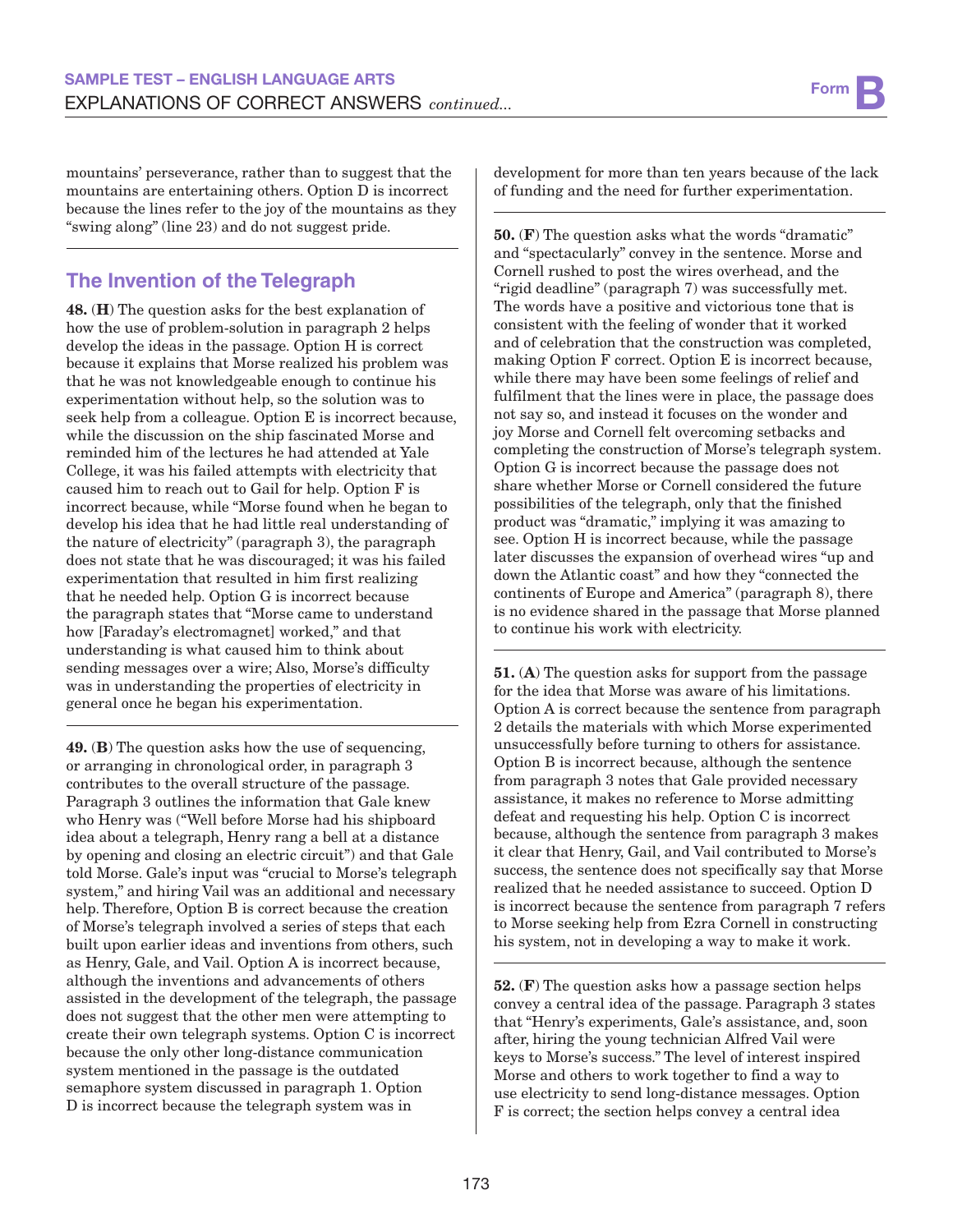mountains' perseverance, rather than to suggest that the mountains are entertaining others. Option D is incorrect because the lines refer to the joy of the mountains as they "swing along" (line 23) and do not suggest pride.

# **The Invention of the Telegraph**

48. (H) The question asks for the best explanation of how the use of problem-solution in paragraph 2 helps develop the ideas in the passage. Option H is correct because it explains that Morse realized his problem was that he was not knowledgeable enough to continue his experimentation without help, so the solution was to seek help from a colleague. Option E is incorrect because, while the discussion on the ship fascinated Morse and reminded him of the lectures he had attended at Yale College, it was his failed attempts with electricity that caused him to reach out to Gail for help. Option F is incorrect because, while "Morse found when he began to develop his idea that he had little real understanding of the nature of electricity" (paragraph 3), the paragraph does not state that he was discouraged; it was his failed experimentation that resulted in him first realizing that he needed help. Option G is incorrect because the paragraph states that "Morse came to understand how [Faraday's electromagnet] worked," and that understanding is what caused him to think about sending messages over a wire; Also, Morse's difficulty was in understanding the properties of electricity in general once he began his experimentation.

49. (B) The question asks how the use of sequencing, or arranging in chronological order, in paragraph 3 contributes to the overall structure of the passage. Paragraph 3 outlines the information that Gale knew who Henry was ("Well before Morse had his shipboard idea about a telegraph, Henry rang a bell at a distance by opening and closing an electric circuit") and that Gale told Morse. Gale's input was "crucial to Morse's telegraph system," and hiring Vail was an additional and necessary help. Therefore, Option B is correct because the creation of Morse's telegraph involved a series of steps that each built upon earlier ideas and inventions from others, such as Henry, Gale, and Vail. Option A is incorrect because, although the inventions and advancements of others assisted in the development of the telegraph, the passage does not suggest that the other men were attempting to create their own telegraph systems. Option C is incorrect because the only other long-distance communication system mentioned in the passage is the outdated semaphore system discussed in paragraph 1. Option D is incorrect because the telegraph system was in

development for more than ten years because of the lack of funding and the need for further experimentation.

50. (F) The question asks what the words "dramatic" and "spectacularly" convey in the sentence. Morse and Cornell rushed to post the wires overhead, and the "rigid deadline" (paragraph 7) was successfully met. The words have a positive and victorious tone that is consistent with the feeling of wonder that it worked and of celebration that the construction was completed, making Option F correct. Option E is incorrect because, while there may have been some feelings of relief and fulfilment that the lines were in place, the passage does not say so, and instead it focuses on the wonder and joy Morse and Cornell felt overcoming setbacks and completing the construction of Morse's telegraph system. Option G is incorrect because the passage does not share whether Morse or Cornell considered the future possibilities of the telegraph, only that the finished product was "dramatic," implying it was amazing to see. Option H is incorrect because, while the passage later discusses the expansion of overhead wires "up and down the Atlantic coast" and how they "connected the continents of Europe and America" (paragraph 8), there is no evidence shared in the passage that Morse planned to continue his work with electricity.

51. (A) The question asks for support from the passage for the idea that Morse was aware of his limitations. Option A is correct because the sentence from paragraph 2 details the materials with which Morse experimented unsuccessfully before turning to others for assistance. Option B is incorrect because, although the sentence from paragraph 3 notes that Gale provided necessary assistance, it makes no reference to Morse admitting defeat and requesting his help. Option C is incorrect because, although the sentence from paragraph 3 makes it clear that Henry, Gail, and Vail contributed to Morse's success, the sentence does not specifically say that Morse realized that he needed assistance to succeed. Option D is incorrect because the sentence from paragraph 7 refers to Morse seeking help from Ezra Cornell in constructing his system, not in developing a way to make it work.

52. (F) The question asks how a passage section helps convey a central idea of the passage. Paragraph 3 states that "Henry's experiments, Gale's assistance, and, soon after, hiring the young technician Alfred Vail were keys to Morse's success." The level of interest inspired Morse and others to work together to find a way to use electricity to send long-distance messages. Option F is correct; the section helps convey a central idea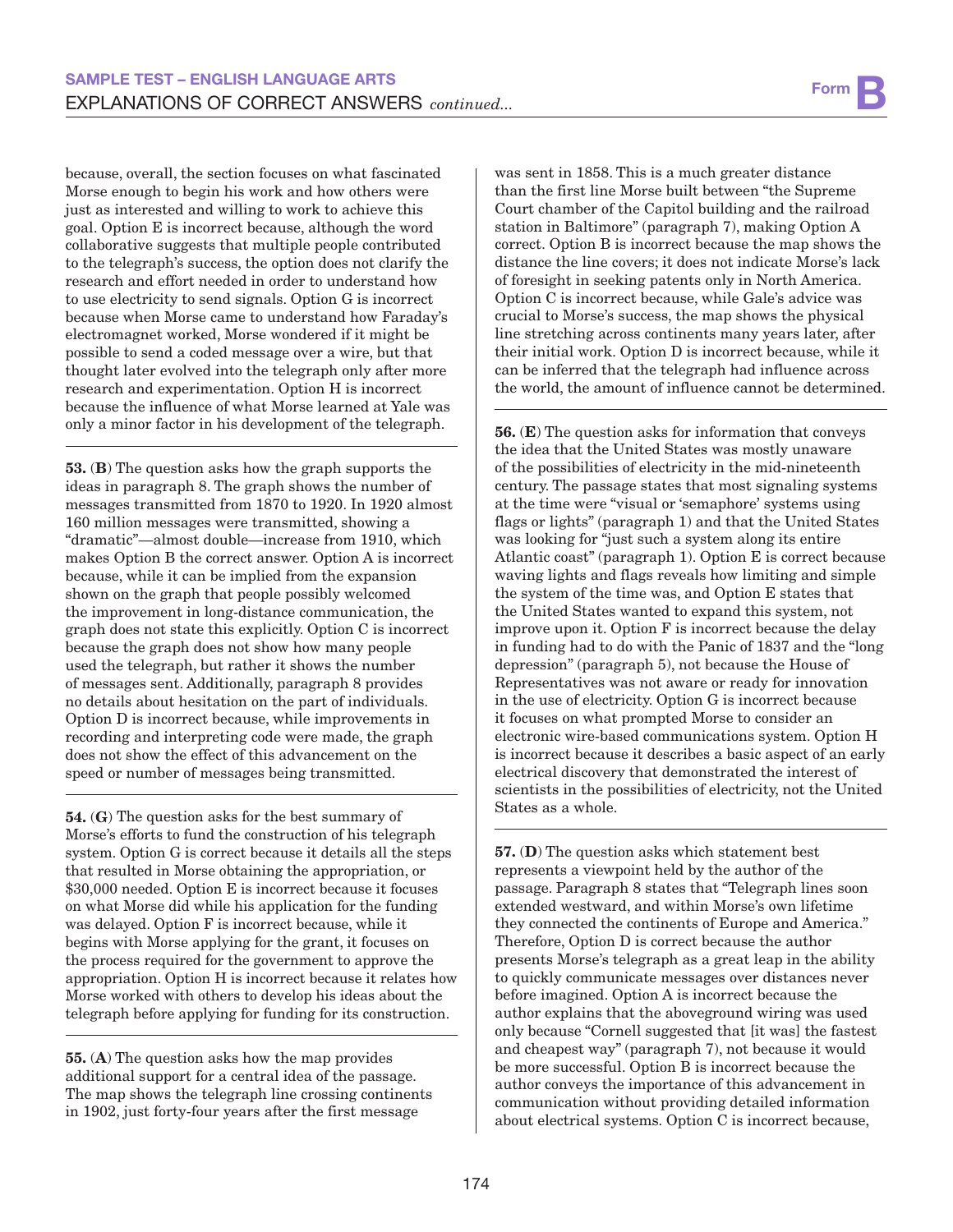because, overall, the section focuses on what fascinated Morse enough to begin his work and how others were just as interested and willing to work to achieve this goal. Option E is incorrect because, although the word collaborative suggests that multiple people contributed to the telegraph's success, the option does not clarify the research and effort needed in order to understand how to use electricity to send signals. Option G is incorrect because when Morse came to understand how Faraday's electromagnet worked, Morse wondered if it might be possible to send a coded message over a wire, but that thought later evolved into the telegraph only after more research and experimentation. Option H is incorrect because the influence of what Morse learned at Yale was only a minor factor in his development of the telegraph.

53. (B) The question asks how the graph supports the ideas in paragraph 8. The graph shows the number of messages transmitted from 1870 to 1920. In 1920 almost 160 million messages were transmitted, showing a "dramatic"—almost double—increase from 1910, which makes Option B the correct answer. Option A is incorrect because, while it can be implied from the expansion shown on the graph that people possibly welcomed the improvement in long-distance communication, the graph does not state this explicitly. Option C is incorrect because the graph does not show how many people used the telegraph, but rather it shows the number of messages sent. Additionally, paragraph 8 provides no details about hesitation on the part of individuals. Option D is incorrect because, while improvements in recording and interpreting code were made, the graph does not show the effect of this advancement on the speed or number of messages being transmitted.

54. (G) The question asks for the best summary of Morse's efforts to fund the construction of his telegraph system. Option G is correct because it details all the steps that resulted in Morse obtaining the appropriation, or \$30,000 needed. Option E is incorrect because it focuses on what Morse did while his application for the funding was delayed. Option F is incorrect because, while it begins with Morse applying for the grant, it focuses on the process required for the government to approve the appropriation. Option H is incorrect because it relates how Morse worked with others to develop his ideas about the telegraph before applying for funding for its construction.

55. (A) The question asks how the map provides additional support for a central idea of the passage. The map shows the telegraph line crossing continents in 1902, just forty-four years after the first message

was sent in 1858. This is a much greater distance than the first line Morse built between "the Supreme Court chamber of the Capitol building and the railroad station in Baltimore" (paragraph 7), making Option A correct. Option B is incorrect because the map shows the distance the line covers; it does not indicate Morse's lack of foresight in seeking patents only in North America. Option C is incorrect because, while Gale's advice was crucial to Morse's success, the map shows the physical line stretching across continents many years later, after their initial work. Option D is incorrect because, while it can be inferred that the telegraph had influence across the world, the amount of influence cannot be determined.

56. (E) The question asks for information that conveys the idea that the United States was mostly unaware of the possibilities of electricity in the mid-nineteenth century. The passage states that most signaling systems at the time were "visual or 'semaphore' systems using flags or lights" (paragraph 1) and that the United States was looking for "just such a system along its entire Atlantic coast" (paragraph 1). Option E is correct because waving lights and flags reveals how limiting and simple the system of the time was, and Option E states that the United States wanted to expand this system, not improve upon it. Option F is incorrect because the delay in funding had to do with the Panic of 1837 and the "long depression" (paragraph 5), not because the House of Representatives was not aware or ready for innovation in the use of electricity. Option G is incorrect because it focuses on what prompted Morse to consider an electronic wire-based communications system. Option H is incorrect because it describes a basic aspect of an early electrical discovery that demonstrated the interest of scientists in the possibilities of electricity, not the United States as a whole.

57. (D) The question asks which statement best represents a viewpoint held by the author of the passage. Paragraph 8 states that "Telegraph lines soon extended westward, and within Morse's own lifetime they connected the continents of Europe and America." Therefore, Option D is correct because the author presents Morse's telegraph as a great leap in the ability to quickly communicate messages over distances never before imagined. Option A is incorrect because the author explains that the aboveground wiring was used only because "Cornell suggested that [it was] the fastest and cheapest way" (paragraph 7), not because it would be more successful. Option B is incorrect because the author conveys the importance of this advancement in communication without providing detailed information about electrical systems. Option C is incorrect because,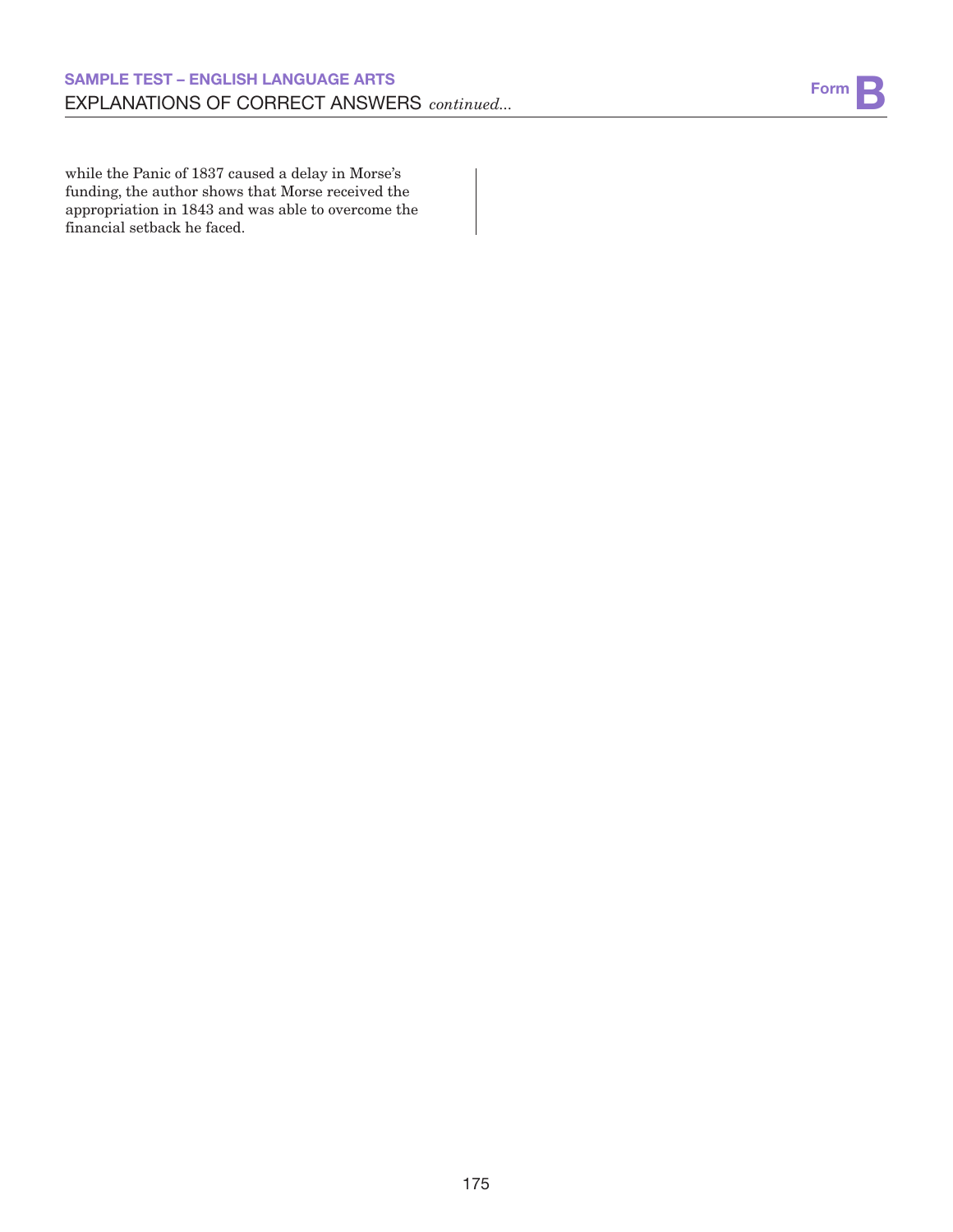while the Panic of 1837 caused a delay in Morse's funding, the author shows that Morse received the appropriation in 1843 and was able to overcome the financial setback he faced.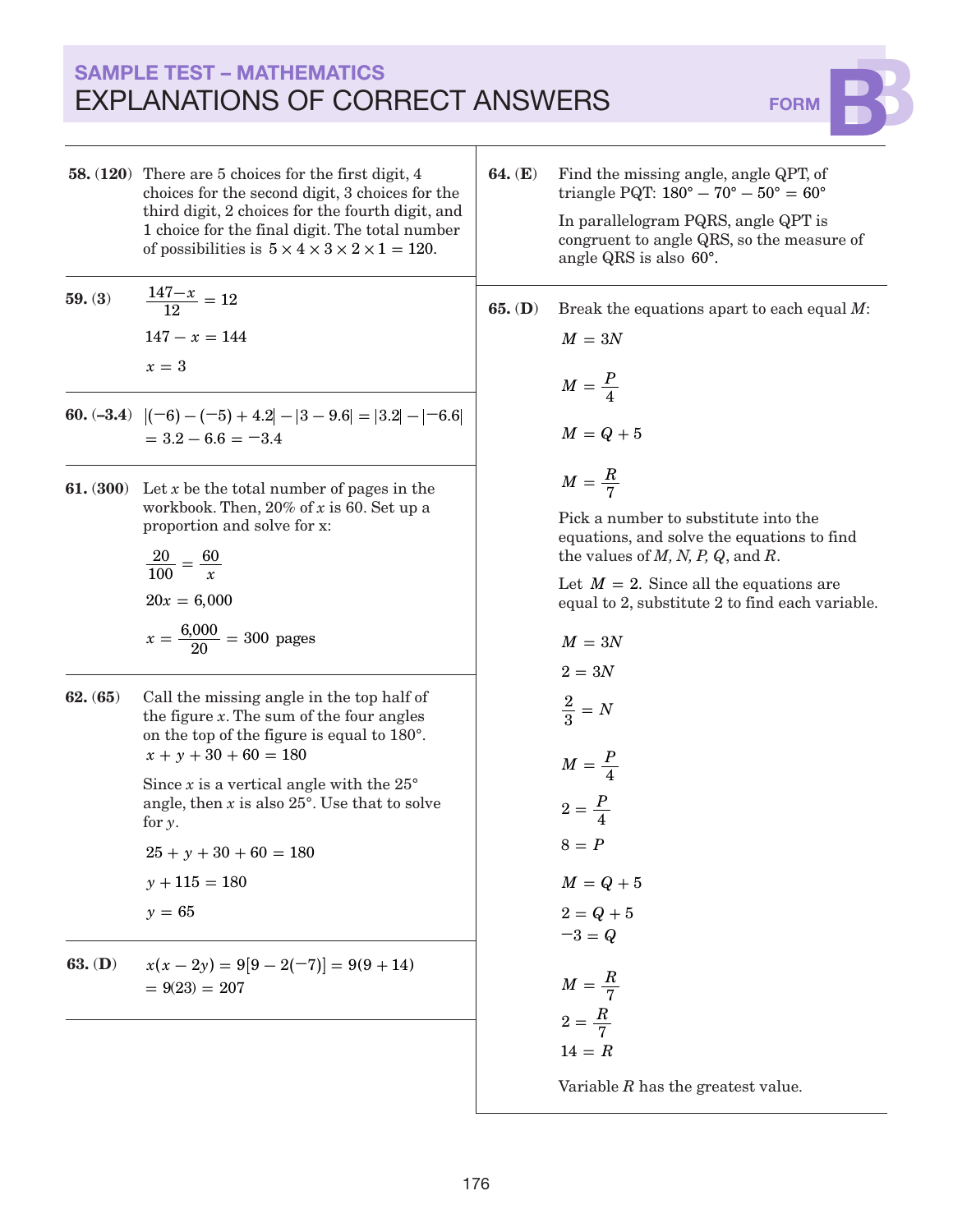# SAMPLE TEST – MATHEMATICS EXPLANATIONS OF CORRECT ANSWERS FORM



- 58. (120) There are 5 choices for the first digit, 4 choices for the second digit, 3 choices for the third digit, 2 choices for the fourth digit, and 1 choice for the final digit. The total number of possibilities is  $5 \times 4 \times 3 \times 2 \times 1 = 120$ .
- **59.** (3)  $\frac{147-x}{12} = 12$  $147 - x = 144$ *x* 3 **=**
- **60.**  $(-3.4)$   $|(-6) (-5) + 4.2| |3 9.6| = |3.2| |-6.6|$  $= 3.2 - 6.6 = -3.4$
- 61. (300) Let *x* be the total number of pages in the workbook. Then, 20% of *x* is 60. Set up a proportion and solve for x:

$$
\frac{20}{100} = \frac{60}{x}
$$
  
20x = 6,000  

$$
x = \frac{6,000}{20} = 300 \text{ pages}
$$

62. (65) Call the missing angle in the top half of the figure *x*. The sum of the four angles on the top of the figure is equal to 180°.  $x + y + 30 + 60 = 180$ 

> Since  $x$  is a vertical angle with the  $25^\circ$ angle, then *x* is also 25°. Use that to solve for *y*.

 $25 + y + 30 + 60 = 180$  $y + 115 = 180$ *y* 65 **=**

**63.** (**D**)  $x(x-2y) = 9[9-2(-7)] = 9(9+14)$  $= 9(23) = 207$ 

64. (E) Find the missing angle, angle QPT, of triangle PQT:  $180^{\circ} - 70^{\circ} - 50^{\circ} = 60^{\circ}$ In parallelogram PQRS, angle QPT is congruent to angle QRS, so the measure of

angle QRS is also 60°.

65. (D) Break the equations apart to each equal *M*:

$$
M = 3N
$$

$$
M = \frac{P}{4}
$$

$$
M = Q + 5
$$

$$
M = \frac{R}{7}
$$

Pick a number to substitute into the equations, and solve the equations to find the values of *M, N, P, Q*, and *R*.

Let  $M = 2$ . Since all the equations are equal to 2, substitute 2 to find each variable.

$$
M = 3N
$$
  
\n
$$
2 = 3N
$$
  
\n
$$
\frac{2}{3} = N
$$
  
\n
$$
M = \frac{P}{4}
$$
  
\n
$$
2 = \frac{P}{4}
$$
  
\n
$$
8 = P
$$
  
\n
$$
M = Q + 5
$$
  
\n
$$
2 = Q + 5
$$
  
\n
$$
-3 = Q
$$
  
\n
$$
M = \frac{R}{7}
$$
  
\n
$$
2 = \frac{R}{7}
$$
  
\n
$$
14 = R
$$

Variable *R* has the greatest value.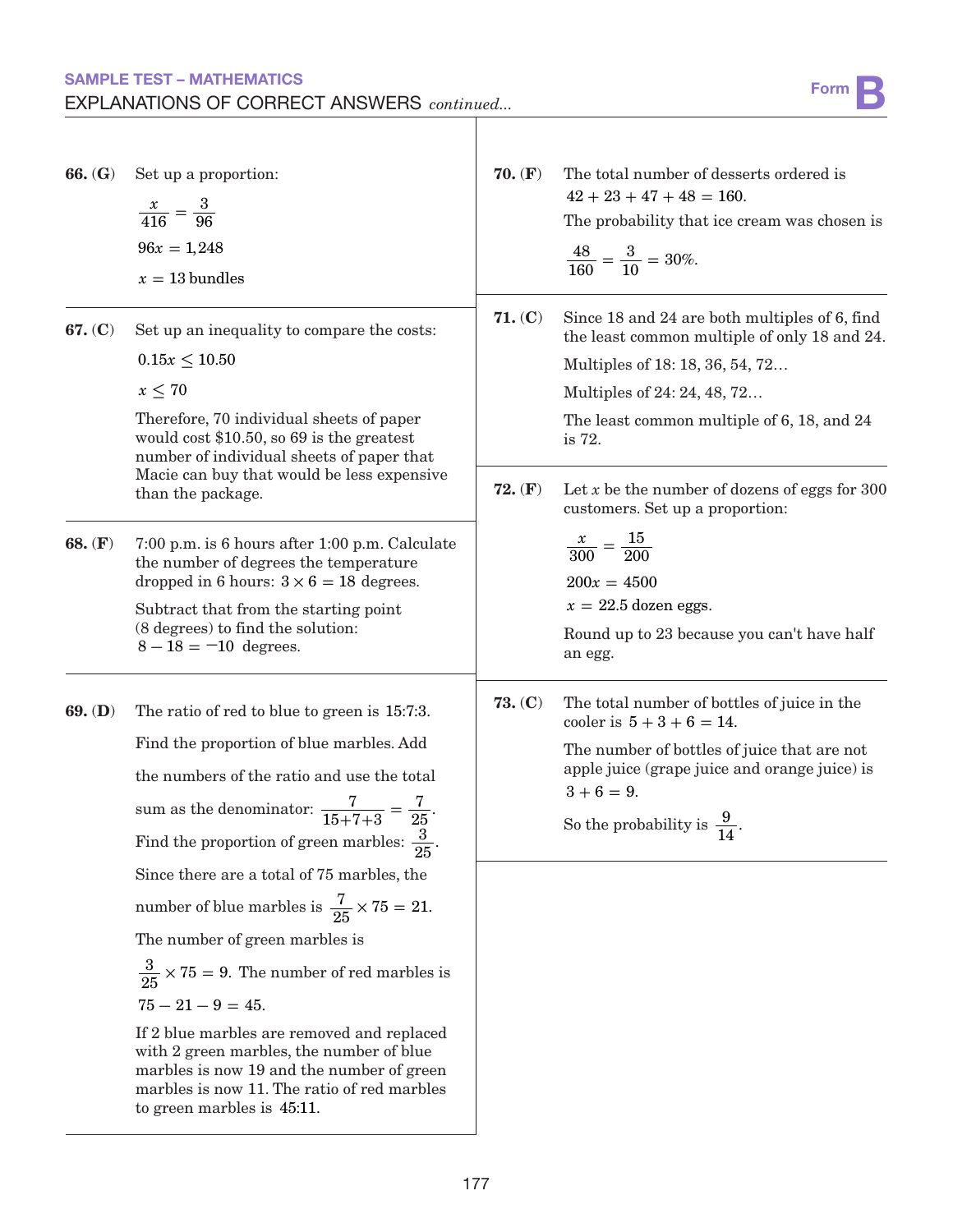## SAMPLE TEST – MATHEMATICS SAMPLE TEST – MATHEMATICS<br>EXPLANATIONS OF CORRECT ANSWERS *continued...* Form BYPLANATIONS OF CORRECT ANSWERS *continued...*

| 66. (G)   | Set up a proportion:<br>$\frac{x}{416} = \frac{3}{96}$<br>$96x = 1,248$<br>$x = 13$ bundles                                                                                                                                                                                                                                                                                                                                                         | $70.$ (F)          | The total number of desserts ordered is<br>$42 + 23 + 47 + 48 = 160.$<br>The probability that ice cream was chosen is<br>$\frac{48}{160} = \frac{3}{10} = 30\%.$                                                                                                                                             |
|-----------|-----------------------------------------------------------------------------------------------------------------------------------------------------------------------------------------------------------------------------------------------------------------------------------------------------------------------------------------------------------------------------------------------------------------------------------------------------|--------------------|--------------------------------------------------------------------------------------------------------------------------------------------------------------------------------------------------------------------------------------------------------------------------------------------------------------|
| 67. (C)   | Set up an inequality to compare the costs:<br>$0.15x \le 10.50$<br>$x \leq 70$<br>Therefore, 70 individual sheets of paper<br>would cost $$10.50$ , so 69 is the greatest<br>number of individual sheets of paper that<br>Macie can buy that would be less expensive<br>than the package.                                                                                                                                                           | 71. (C)<br>72. (F) | Since 18 and 24 are both multiples of 6, find<br>the least common multiple of only 18 and 24.<br>Multiples of 18:18, 36, 54, 72<br>Multiples of 24: 24, 48, 72<br>The least common multiple of 6, 18, and 24<br>is 72.<br>Let $x$ be the number of dozens of eggs for 300<br>customers. Set up a proportion: |
| 68. $(F)$ | 7:00 p.m. is 6 hours after 1:00 p.m. Calculate<br>the number of degrees the temperature<br>dropped in 6 hours: $3 \times 6 = 18$ degrees.<br>Subtract that from the starting point<br>(8 degrees) to find the solution:<br>$8 - 18 = -10$ degrees.                                                                                                                                                                                                  |                    | $\frac{x}{300} = \frac{15}{200}$<br>$200x = 4500$<br>$x = 22.5$ dozen eggs.<br>Round up to 23 because you can't have half<br>an egg.                                                                                                                                                                         |
| $69.$ (D) | The ratio of red to blue to green is 15:7:3.<br>Find the proportion of blue marbles. Add<br>the numbers of the ratio and use the total<br>sum as the denominator: $\frac{7}{15+7+3} = \frac{7}{25}$ .<br>Find the proportion of green marbles: $\frac{3}{25}$ .                                                                                                                                                                                     | 73. (C)            | The total number of bottles of juice in the<br>cooler is $5 + 3 + 6 = 14$ .<br>The number of bottles of juice that are not<br>apple juice (grape juice and orange juice) is<br>$3 + 6 = 9.$<br>So the probability is $\frac{9}{14}$ .                                                                        |
|           | Since there are a total of 75 marbles, the<br>number of blue marbles is $\frac{7}{25} \times 75 = 21$ .<br>The number of green marbles is<br>$\frac{3}{25} \times 75 = 9$ . The number of red marbles is<br>$75 - 21 - 9 = 45.$<br>If 2 blue marbles are removed and replaced<br>with 2 green marbles, the number of blue<br>marbles is now 19 and the number of green<br>marbles is now 11. The ratio of red marbles<br>to green marbles is 45:11. |                    |                                                                                                                                                                                                                                                                                                              |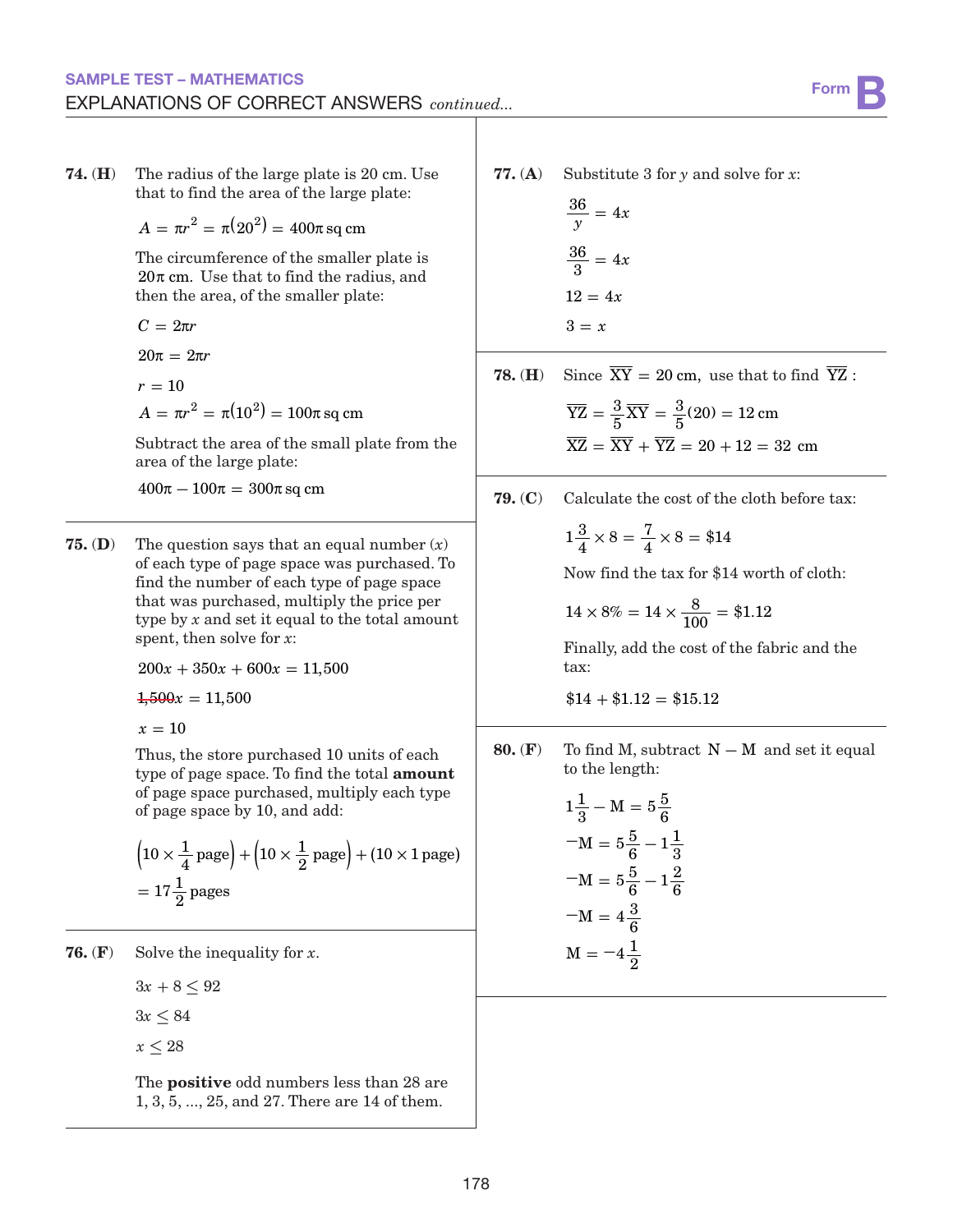that to find the area of the large plate:  $A = \pi r^2 = \pi (20^2) = 400 \pi$  sq cm The circumference of the smaller plate is  $20\pi$  cm. Use that to find the radius, and then the area, of the smaller plate:  $C = 2\pi r$  $20\pi = 2\pi r$  $A = \pi r^2 = \pi (10^2) = 100 \pi \, \text{sq cm}^2$  $r=10$ Subtract the area of the small plate from the area of the large plate:  $400\pi - 100\pi = 300\pi$  sq cm

74. (H) The radius of the large plate is 20 cm. Use

**75. (D)** The question says that an equal number  $(x)$ of each type of page space was purchased. To find the number of each type of page space that was purchased, multiply the price per type by *x* and set it equal to the total amount spent, then solve for *x*:

 $200x + 350x + 600x = 11,500$ 

 $\frac{1}{2,500x} = 11,500$ 

 $x = 10$ 

Thus, the store purchased 10 units of each type of page space. To find the total amount of page space purchased, multiply each type of page space by 10, and add:

$$
\left(10 \times \frac{1}{4} \text{ page}\right) + \left(10 \times \frac{1}{2} \text{ page}\right) + (10 \times 1 \text{ page})
$$
  
= 17 $\frac{1}{2}$  pages

76. (F) Solve the inequality for *x*.

 $3x + 8 \leq 92$ 

 $3x \le 84$ 

*x* **≤** 28

The positive odd numbers less than 28 are 1, 3, 5, ..., 25, and 27. There are 14 of them.

77. (A) Substitute 3 for *y* and solve for *x*:

$$
\frac{36}{y} = 4x
$$

$$
\frac{36}{3} = 4x
$$

$$
12 = 4x
$$

$$
3 = x
$$

**78.** (**H**) Since  $\overline{XY} = 20$  cm, use that to find  $\overline{YZ}$ :

$$
\overline{YZ} = \frac{3}{5}\overline{XY} = \frac{3}{5}(20) = 12 \text{ cm}
$$

$$
\overline{XZ} = \overline{XY} + \overline{YZ} = 20 + 12 = 32 \text{ cm}
$$

**79.** 
$$
(C)
$$
 Calculate the cost of the cloth before tax:

$$
1\frac{3}{4} \times 8 = \frac{7}{4} \times 8 = \$14
$$

Now find the tax for \$14 worth of cloth:

$$
14 \times 8\% = 14 \times \frac{8}{100} = $1.12
$$

Finally, add the cost of the fabric and the tax:

 $$14 + $1.12 = $15.12$ 

80. (F) To find M, subtract  $N - M$  and set it equal to the length:

$$
1\frac{1}{3} - M = 5\frac{5}{6}
$$
  
-M = 5\frac{5}{6} - 1\frac{1}{3}  
-M = 5\frac{5}{6} - 1\frac{2}{6}  
-M = 4\frac{3}{6}  
M = -4\frac{1}{2}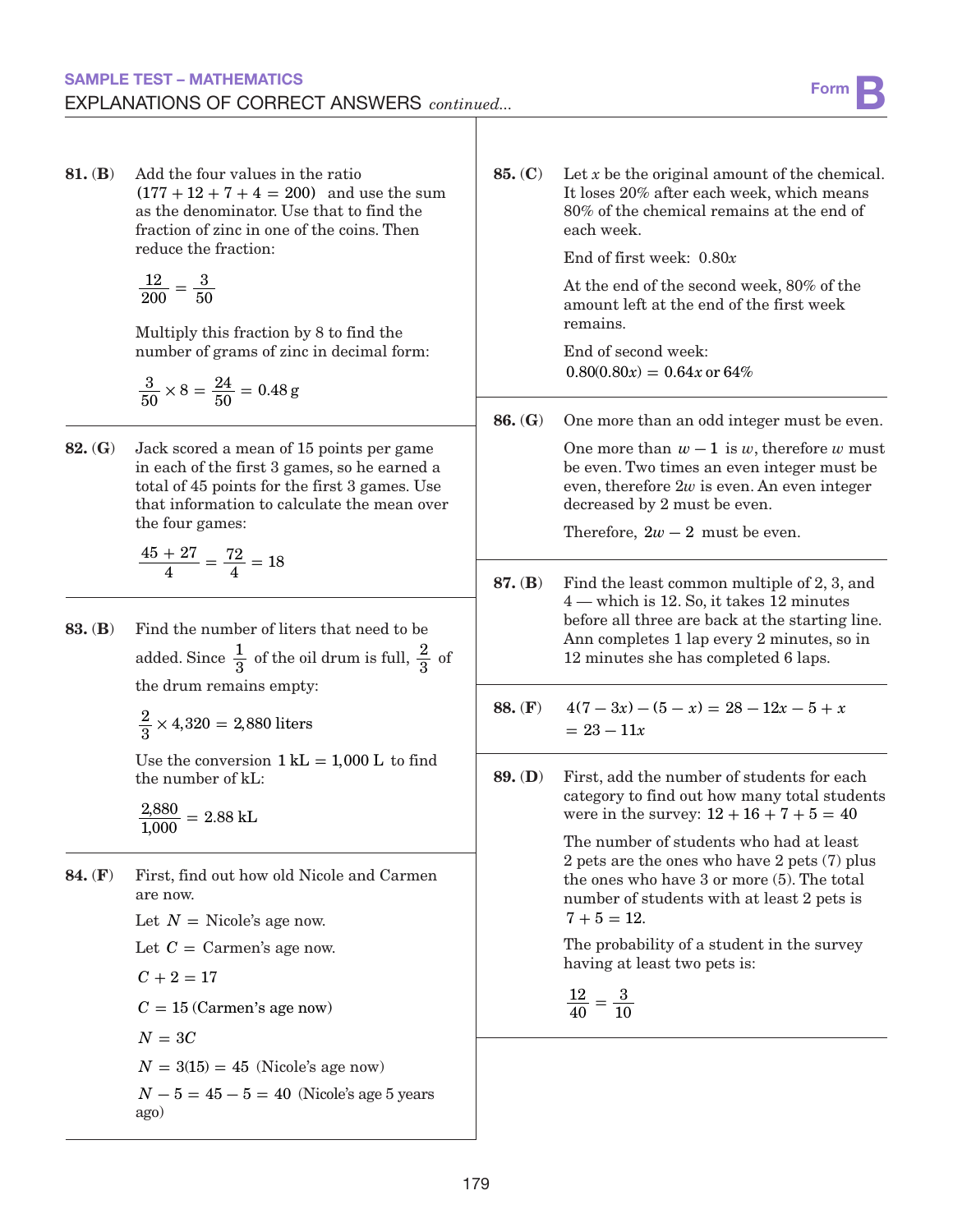81. (B) Add the four values in the ratio  $(177 + 12 + 7 + 4 = 200)$  and use the sum as the denominator. Use that to find the fraction of zinc in one of the coins. Then reduce the fraction:

$$
\frac{12}{200}=\frac{3}{50}
$$

Multiply this fraction by 8 to find the number of grams of zinc in decimal form:

$$
\frac{3}{50} \times 8 = \frac{24}{50} = 0.48 \, \text{g}
$$

82. (G) Jack scored a mean of 15 points per game in each of the first 3 games, so he earned a total of 45 points for the first 3 games. Use that information to calculate the mean over the four games:

$$
\frac{45+27}{4} = \frac{72}{4} = 18
$$

83. (B) Find the number of liters that need to be added. Since  $\frac{1}{3}$  of the oil drum is full,  $\frac{2}{3}$  of the drum remains empty:

 $\frac{2}{3} \times 4,320 = 2,880$  liters

Use the conversion  $1 \text{ kL} = 1,000 \text{ L}$  to find the number of kL:

 $\frac{2,880}{1,000} = 2.88$  kL

84. (F) First, find out how old Nicole and Carmen are now. Let  $N =$  Nicole's age now.

Let  $C = \text{Carmen's age now.}$ 

$$
C+2=17
$$

 $C = 15$  (Carmen's age now)

 $N = 3C$ 

 $N = 3(15) = 45$  (Nicole's age now)

 $N - 5 = 45 - 5 = 40$  (Nicole's age 5 years ago)

85. (C) Let *x* be the original amount of the chemical. It loses 20% after each week, which means 80% of the chemical remains at the end of each week.

End of first week: 0.80*x*

At the end of the second week, 80% of the amount left at the end of the first week remains.

End of second week:  $0.80(0.80x) = 0.64x$  or 64%

86. (G) One more than an odd integer must be even.

One more than  $w - 1$  is  $w$ , therefore  $w$  must be even. Two times an even integer must be even, therefore 2*w* is even. An even integer decreased by 2 must be even.

Therefore,  $2w - 2$  must be even.

- 87. (B) Find the least common multiple of 2, 3, and 4 — which is 12. So, it takes 12 minutes before all three are back at the starting line. Ann completes 1 lap every 2 minutes, so in 12 minutes she has completed 6 laps.
- 88. (F)  $4(7-3x) (5-x) = 28 12x 5 + x$  $= 23 - 11x$
- 89. (D) First, add the number of students for each category to find out how many total students were in the survey:  $12 + 16 + 7 + 5 = 40$

The number of students who had at least 2 pets are the ones who have 2 pets (7) plus the ones who have 3 or more (5). The total number of students with at least 2 pets is  $7 + 5 = 12.$ 

The probability of a student in the survey having at least two pets is:

$$
\frac{12}{40}=\frac{3}{10}
$$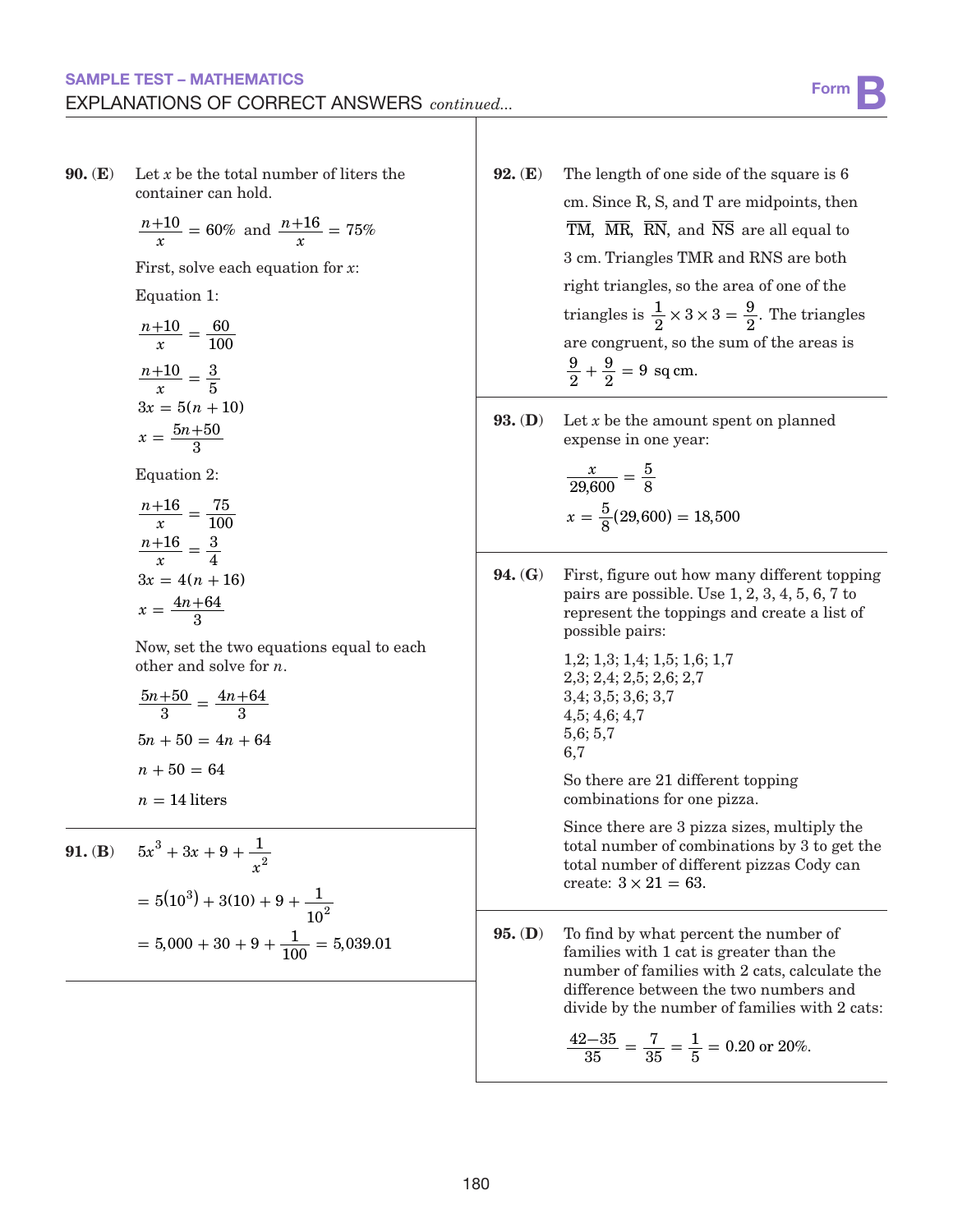#### SAMPLE TEST – MATHEMATICS EXPLANATIONS OF CORRECT ANSWERS *continued...*

**90.** (**E**) Let *x* be the total number of liters the container can hold.

$$
\frac{n+10}{x} = 60\% \text{ and } \frac{n+16}{x} = 75\%
$$

First, solve each equation for *x*:

Equation 1:

$$
\frac{n+10}{x} = \frac{60}{100}
$$

$$
\frac{n+10}{x} = \frac{3}{5}
$$

$$
3x = 5(n + 10)
$$

$$
x = \frac{5n+50}{3}
$$

Equation 2:

$$
\frac{n+16}{x} = \frac{75}{100}
$$

$$
\frac{n+16}{x} = \frac{3}{4}
$$

$$
3x = 4(n+16)
$$

$$
x = \frac{4n+64}{3}
$$

Now, set the two equations equal to each other and solve for *n*.

$$
\frac{5n+50}{3} = \frac{4n+64}{3}
$$

$$
5n + 50 = 4n + 64
$$

$$
n + 50 = 64
$$

$$
n = 14 \text{ liters}
$$

**91.** (B) 
$$
5x^3 + 3x + 9 + \frac{1}{x^2}
$$
  
=  $5(10^3) + 3(10) + 9 + \frac{1}{10^2}$   
=  $5,000 + 30 + 9 + \frac{1}{100} = 5,039.01$ 

- 92. (E) The length of one side of the square is 6 cm. Since R, S, and T are midpoints, then  $\overline{TM}$ ,  $\overline{MR}$ ,  $\overline{RN}$ , and  $\overline{NS}$  are all equal to 3 cm. Triangles TMR and RNS are both right triangles, so the area of one of the triangles is  $\frac{1}{2} \times 3 \times 3 = \frac{9}{2}$ . The triangles are congruent, so the sum of the areas is 9 2  $+\frac{9}{2} = 9$  sq cm.
- 93. (D) Let *x* be the amount spent on planned expense in one year:

$$
\frac{x}{29,600} = \frac{5}{8}
$$

$$
x = \frac{5}{8}(29,600) = 18,500
$$

94. (G) First, figure out how many different topping pairs are possible. Use 1, 2, 3, 4, 5, 6, 7 to represent the toppings and create a list of possible pairs:

$$
1,2; 1,3; 1,4; 1,5; 1,6; 1,7\n2,3; 2,4; 2,5; 2,6; 2,7\n3,4; 3,5; 3,6; 3,7\n4,5; 4,6; 4,7\n5,6; 5,7\n6,7
$$

So there are 21 different topping combinations for one pizza.

Since there are 3 pizza sizes, multiply the total number of combinations by 3 to get the total number of different pizzas Cody can create:  $3 \times 21 = 63$ .

95. (D) To find by what percent the number of families with 1 cat is greater than the number of families with 2 cats, calculate the difference between the two numbers and divide by the number of families with 2 cats:

$$
\frac{42-35}{35} = \frac{7}{35} = \frac{1}{5} = 0.20 \text{ or } 20\%.
$$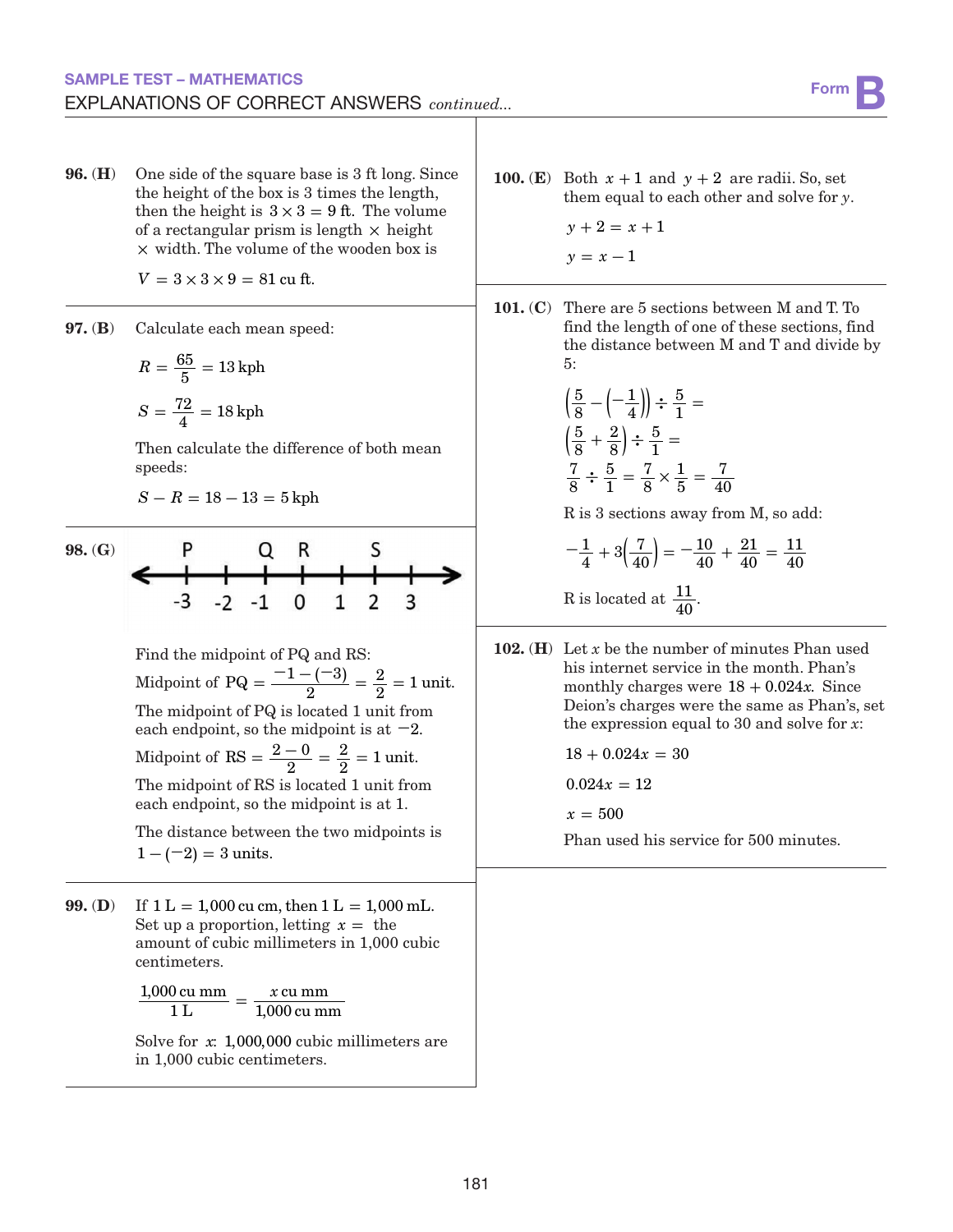#### SAMPLE TEST – MATHEMATICS EXPLANATIONS OF CORRECT ANSWERS *continued...*

96. (H) One side of the square base is 3 ft long. Since the height of the box is 3 times the length, then the height is  $3 \times 3 = 9$  ft. The volume of a rectangular prism is length  $\times$  height **×** width. The volume of the wooden box is

 $V = 3 \times 3 \times 9 = 81$  cu ft.

97. (B) Calculate each mean speed:

$$
R = \frac{65}{5} = 13 \text{ kph}
$$

$$
S = \frac{72}{4} = 18 \text{ kph}
$$

Then calculate the difference of both mean speeds:

$$
S-R=18-13=5\,\mathrm{kph}
$$

98. (G)

$$
\begin{array}{c|cccc}\n & P & Q & R & S \\
\hline\n- & -3 & -2 & -1 & 0 & 1 & 2 & 3 \\
\end{array}
$$

Find the midpoint of PQ and RS: Midpoint of PQ =  $\frac{-1 - (-3)}{2} = \frac{2}{2}$  $\frac{2}{2}$  = 1 unit. The midpoint of PQ is located 1 unit from each endpoint, so the midpoint is at **−**2.

Midpoint of  $RS = \frac{2-0}{2} = \frac{2}{2} =$  $\frac{2}{2}$  = 1 unit.

The midpoint of RS is located 1 unit from each endpoint, so the midpoint is at 1.

The distance between the two midpoints is  $1 - (-2) = 3$  units.

99. (D) If  $1 L = 1,000$  cu cm, then  $1 L = 1,000$  mL. Set up a proportion, letting  $x =$  the amount of cubic millimeters in 1,000 cubic centimeters.

> 1,000 cu mm *x* 1 L  $=\frac{x \text{ cu mm}}{1,000 \text{ cu mm}}$

Solve for *x*: 1,000,000 cubic millimeters are in 1,000 cubic centimeters.

100. (E) Both  $x + 1$  and  $y + 2$  are radii. So, set them equal to each other and solve for *y*.

 $y + 2 = x + 1$ 

- $y = x 1$
- 101. (C) There are 5 sections between M and T. To find the length of one of these sections, find the distance between M and T and divide by 5:

$$
\left(\frac{5}{8} - \left(-\frac{1}{4}\right)\right) \div \frac{5}{1} =
$$
\n
$$
\left(\frac{5}{8} + \frac{2}{8}\right) \div \frac{5}{1} =
$$
\n
$$
\frac{7}{8} \div \frac{5}{1} = \frac{7}{8} \times \frac{1}{5} = \frac{7}{40}
$$

R is 3 sections away from M, so add:

$$
-\frac{1}{4} + 3\left(\frac{7}{40}\right) = -\frac{10}{40} + \frac{21}{40} = \frac{11}{40}
$$
  
R is located at  $\frac{11}{40}$ .

102. (H) Let *x* be the number of minutes Phan used his internet service in the month. Phan's monthly charges were  $18 + 0.024x$ . Since Deion's charges were the same as Phan's, set the expression equal to 30 and solve for *x*:

 $18 + 0.024x = 30$ 

 $0.024x = 12$ 

 $x = 500$ 

Phan used his service for 500 minutes.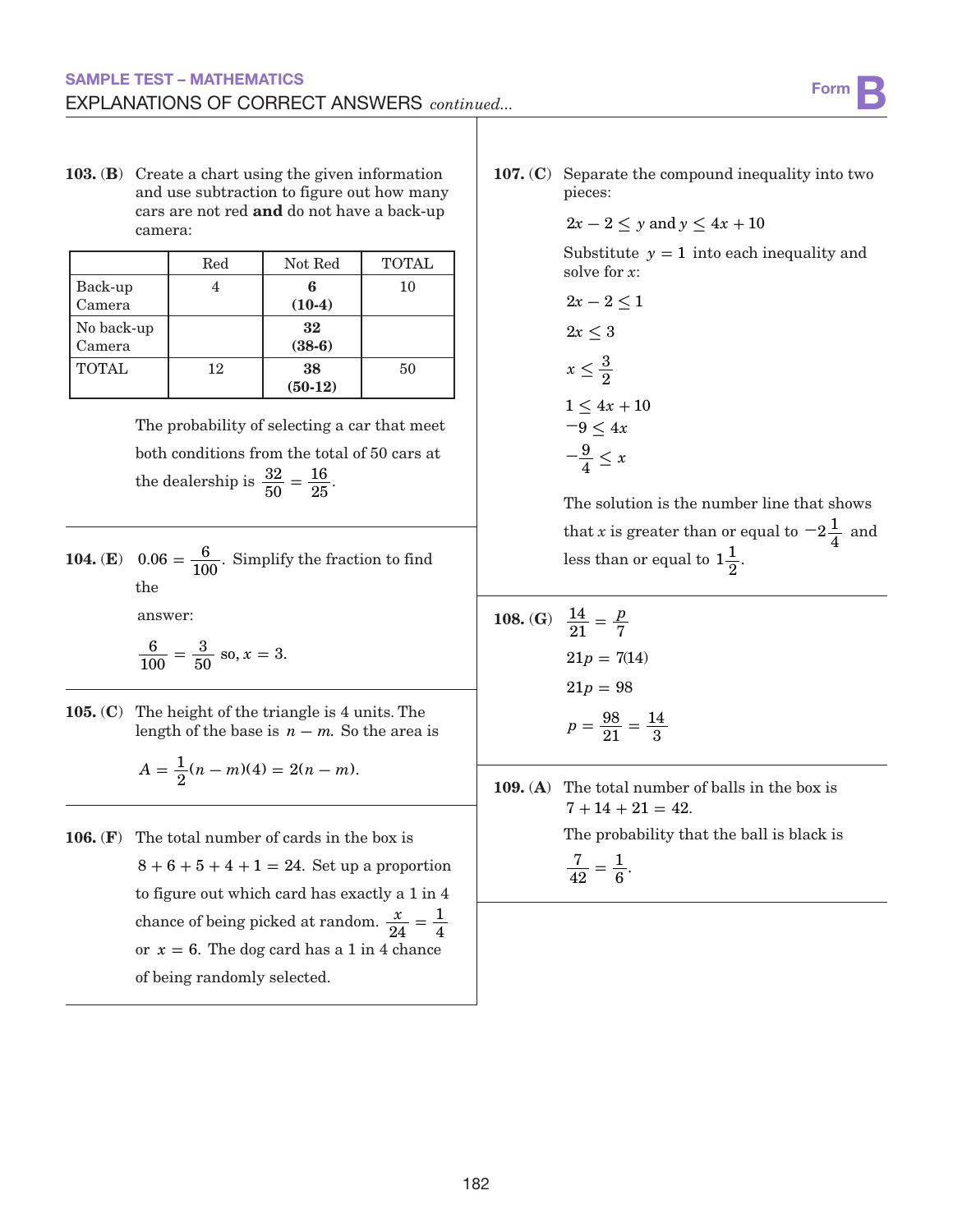103. (B) Create a chart using the given information and use subtraction to figure out how many cars are not red and do not have a back-up camera:

|              | Red | Not Red   | <b>TOTAL</b> |
|--------------|-----|-----------|--------------|
| Back-up      |     | 6         | 10           |
| Camera       |     | $(10-4)$  |              |
| No back-up   |     | 32        |              |
| Camera       |     | $(38-6)$  |              |
| <b>TOTAL</b> | 12  | 38        | 50           |
|              |     | $(50-12)$ |              |

The probability of selecting a car that meet both conditions from the total of 50 cars at the dealership is  $\frac{32}{50}$  $=\frac{16}{25}.$ 

**104.** (**E**)  $0.06 = \frac{6}{100}$ . Simplify the fraction to find the

answer:

$$
\frac{6}{100} = \frac{3}{50}
$$
 so,  $x = 3$ .

105. (C) The height of the triangle is 4 units. The length of the base is  $n - m$ . So the area is

$$
A = \frac{1}{2}(n-m)(4) = 2(n-m).
$$

106. (F) The total number of cards in the box is  $8+6+5+4+1 = 24$ . Set up a proportion to figure out which card has exactly a 1 in 4 chance of being picked at random.  $\frac{x}{24}$  $=\frac{1}{4}$ or  $x = 6$ . The dog card has a 1 in 4 chance of being randomly selected.

107. (C) Separate the compound inequality into two pieces:

$$
2x - 2 \le y \text{ and } y \le 4x + 10
$$

Substitute  $y = 1$  into each inequality and solve for *x*:

$$
2x - 2 \le 1
$$

$$
2x \le 3
$$

$$
x \le \frac{3}{2}
$$

$$
1 \le 4x + 10
$$

$$
-9 \le 4x
$$

$$
-\frac{9}{4} \le x
$$

The solution is the number line that shows that *x* is greater than or equal to  $-2\frac{1}{4}$  and less than or equal to  $1\frac{1}{2}$ .

108. (G) 
$$
\frac{14}{21} = \frac{p}{7}
$$
  
\n21p = 7(14)  
\n21p = 98  
\n
$$
p = \frac{98}{21} = \frac{14}{3}
$$

109. (A) The total number of balls in the box is  $7 + 14 + 21 = 42.$ 

The probability that the ball is black is

7 42  $=\frac{1}{6}$ .